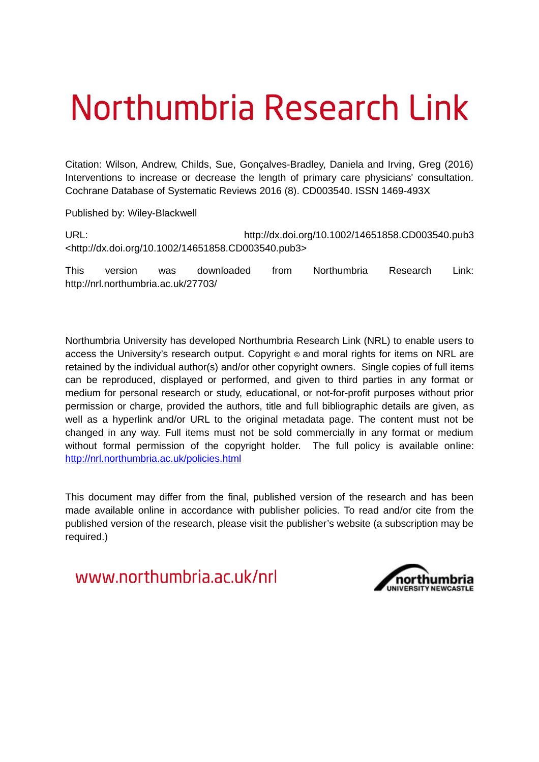# Northumbria Research Link

Citation: Wilson, Andrew, Childs, Sue, Gonçalves-Bradley, Daniela and Irving, Greg (2016) Interventions to increase or decrease the length of primary care physicians' consultation. Cochrane Database of Systematic Reviews 2016 (8). CD003540. ISSN 1469-493X

Published by: Wiley-Blackwell

URL: http://dx.doi.org/10.1002/14651858.CD003540.pub3 <http://dx.doi.org/10.1002/14651858.CD003540.pub3>

This version was downloaded from Northumbria Research Link: http://nrl.northumbria.ac.uk/27703/

Northumbria University has developed Northumbria Research Link (NRL) to enable users to access the University's research output. Copyright  $\circ$  and moral rights for items on NRL are retained by the individual author(s) and/or other copyright owners. Single copies of full items can be reproduced, displayed or performed, and given to third parties in any format or medium for personal research or study, educational, or not-for-profit purposes without prior permission or charge, provided the authors, title and full bibliographic details are given, as well as a hyperlink and/or URL to the original metadata page. The content must not be changed in any way. Full items must not be sold commercially in any format or medium without formal permission of the copyright holder. The full policy is available online: <http://nrl.northumbria.ac.uk/policies.html>

This document may differ from the final, published version of the research and has been made available online in accordance with publisher policies. To read and/or cite from the published version of the research, please visit the publisher's website (a subscription may be required.)

www.northumbria.ac.uk/nrl

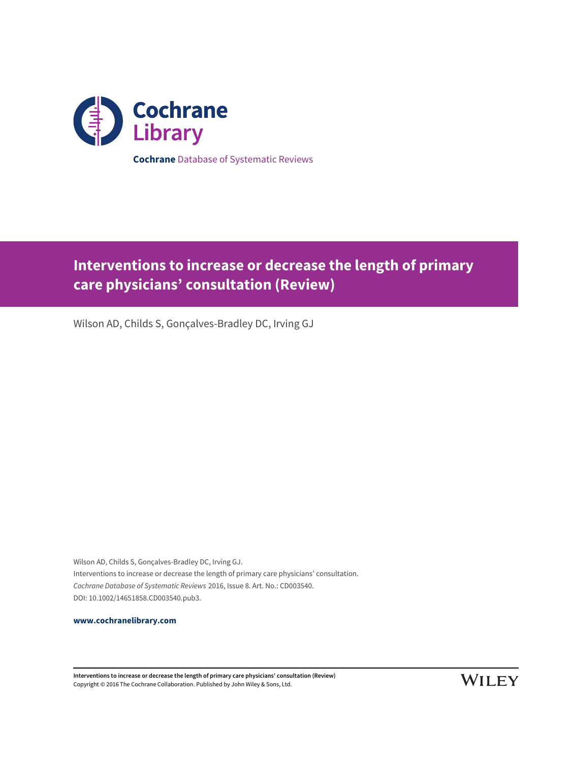

# **Interventions to increase or decrease the length of primary care physicians' consultation (Review)**

Wilson AD, Childs S, Gonçalves-Bradley DC, Irving GJ

Wilson AD, Childs S, Gonçalves-Bradley DC, Irving GJ. Interventions to increase or decrease the length of primary care physicians' consultation. Cochrane Database of Systematic Reviews 2016, Issue 8. Art. No.: CD003540. DOI: 10.1002/14651858.CD003540.pub3.

**[www.cochranelibrary.com](http://www.cochranelibrary.com)**

**Interventions to increase or decrease the length of primary care physicians' consultation (Review)** Copyright © 2016 The Cochrane Collaboration. Published by John Wiley & Sons, Ltd.

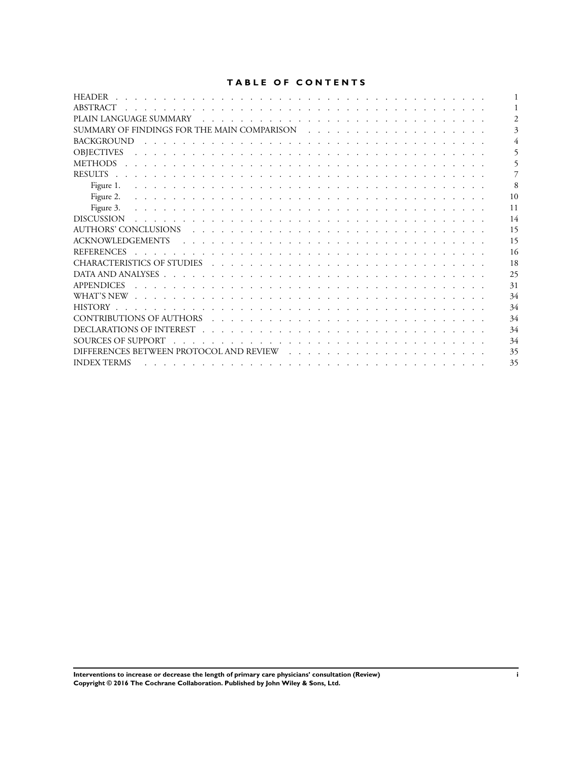## **TABLE OF CONTENTS**

| <b>HEADER</b>                                                                                                                                                                                                                                    |    |
|--------------------------------------------------------------------------------------------------------------------------------------------------------------------------------------------------------------------------------------------------|----|
| ABSTRACT                                                                                                                                                                                                                                         |    |
| PLAIN LANGUAGE SUMMARY                                                                                                                                                                                                                           |    |
| SUMMARY OF FINDINGS FOR THE MAIN COMPARISON<br>.                                                                                                                                                                                                 |    |
| <b>BACKGROUND</b>                                                                                                                                                                                                                                |    |
| <b>OBIECTIVES</b>                                                                                                                                                                                                                                |    |
| <b>METHODS</b>                                                                                                                                                                                                                                   |    |
| <b>RESULTS</b><br>a construction of the construction of the construction of the construction of the construction of the construction of the construction of the construction of the construction of the construction of the construction of the  |    |
| Figure 1.                                                                                                                                                                                                                                        |    |
| Figure 2.<br>a constitution of the constitution of the constitution of the constitution of the constitution of the constitution of the constitution of the constitution of the constitution of the constitution of the constitution of the       | 10 |
| Figure 3.<br>the contract of the contract of the contract of the contract of the contract of the contract of the contract of                                                                                                                     | 11 |
| <b>DISCUSSION</b>                                                                                                                                                                                                                                | 14 |
| AUTHORS' CONCLUSIONS                                                                                                                                                                                                                             | 15 |
| <b>ACKNOWLEDGEMENTS</b>                                                                                                                                                                                                                          | 15 |
| <b>REFERENCES</b><br>the contract of the contract of the contract of the contract of the contract of the contract of the contract of                                                                                                             | 16 |
|                                                                                                                                                                                                                                                  | 18 |
|                                                                                                                                                                                                                                                  | 25 |
| <b>APPENDICES</b>                                                                                                                                                                                                                                | 31 |
| WHAT'S NEW                                                                                                                                                                                                                                       | 34 |
| <b>HISTORY</b><br>the contract of the contract of the contract of the contract of the contract of the contract of the contract of the contract of the contract of the contract of the contract of the contract of the contract of the contract o | 34 |
| CONTRIBUTIONS OF AUTHORS                                                                                                                                                                                                                         | 34 |
| DECLARATIONS OF INTEREST                                                                                                                                                                                                                         | 34 |
| SOURCES OF SUPPORT<br><u>. In the second contract of the second contract of the second contract of the second</u>                                                                                                                                | 34 |
|                                                                                                                                                                                                                                                  | 35 |
| <b>INDEX TERMS</b>                                                                                                                                                                                                                               | 35 |
|                                                                                                                                                                                                                                                  |    |

**Interventions to increase or decrease the length of primary care physicians' consultation (Review) i Copyright © 2016 The Cochrane Collaboration. Published by John Wiley & Sons, Ltd.**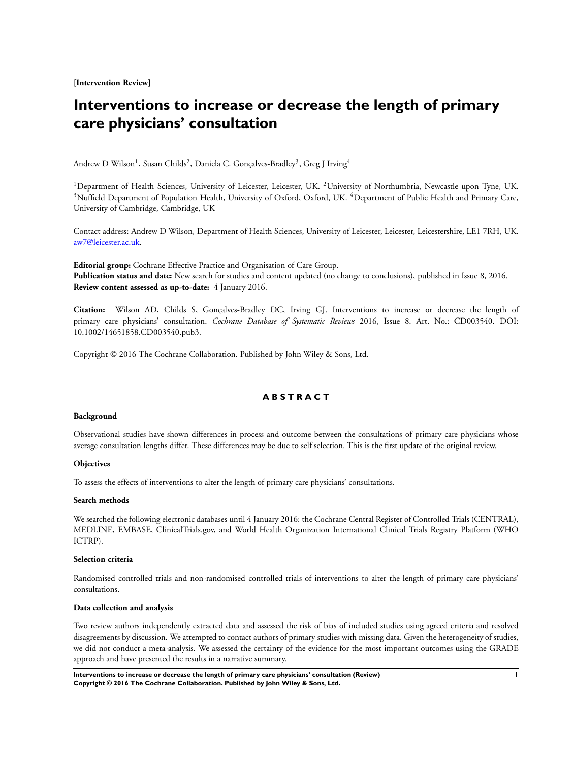**[Intervention Review]**

# **Interventions to increase or decrease the length of primary care physicians' consultation**

Andrew D Wilson<sup>1</sup>, Susan Childs<sup>2</sup>, Daniela C. Gonçalves-Bradley<sup>3</sup>, Greg J Irving<sup>4</sup>

<sup>1</sup>Department of Health Sciences, University of Leicester, Leicester, UK. <sup>2</sup>University of Northumbria, Newcastle upon Tyne, UK. <sup>3</sup>Nuffield Department of Population Health, University of Oxford, Oxford, UK. <sup>4</sup>Department of Public Health and Primary Care, University of Cambridge, Cambridge, UK

Contact address: Andrew D Wilson, Department of Health Sciences, University of Leicester, Leicester, Leicestershire, LE1 7RH, UK. [aw7@leicester.ac.uk.](mailto:aw7@leicester.ac.uk)

**Editorial group:** Cochrane Effective Practice and Organisation of Care Group. **Publication status and date:** New search for studies and content updated (no change to conclusions), published in Issue 8, 2016. **Review content assessed as up-to-date:** 4 January 2016.

**Citation:** Wilson AD, Childs S, Gonçalves-Bradley DC, Irving GJ. Interventions to increase or decrease the length of primary care physicians' consultation. *Cochrane Database of Systematic Reviews* 2016, Issue 8. Art. No.: CD003540. DOI: 10.1002/14651858.CD003540.pub3.

Copyright © 2016 The Cochrane Collaboration. Published by John Wiley & Sons, Ltd.

## **A B S T R A C T**

#### **Background**

Observational studies have shown differences in process and outcome between the consultations of primary care physicians whose average consultation lengths differ. These differences may be due to self selection. This is the first update of the original review.

#### **Objectives**

To assess the effects of interventions to alter the length of primary care physicians' consultations.

#### **Search methods**

We searched the following electronic databases until 4 January 2016: the Cochrane Central Register of Controlled Trials (CENTRAL), MEDLINE, EMBASE, ClinicalTrials.gov, and World Health Organization International Clinical Trials Registry Platform (WHO ICTRP).

#### **Selection criteria**

Randomised controlled trials and non-randomised controlled trials of interventions to alter the length of primary care physicians' consultations.

#### **Data collection and analysis**

Two review authors independently extracted data and assessed the risk of bias of included studies using agreed criteria and resolved disagreements by discussion. We attempted to contact authors of primary studies with missing data. Given the heterogeneity of studies, we did not conduct a meta-analysis. We assessed the certainty of the evidence for the most important outcomes using the GRADE approach and have presented the results in a narrative summary.

**Interventions to increase or decrease the length of primary care physicians' consultation (Review) 1 Copyright © 2016 The Cochrane Collaboration. Published by John Wiley & Sons, Ltd.**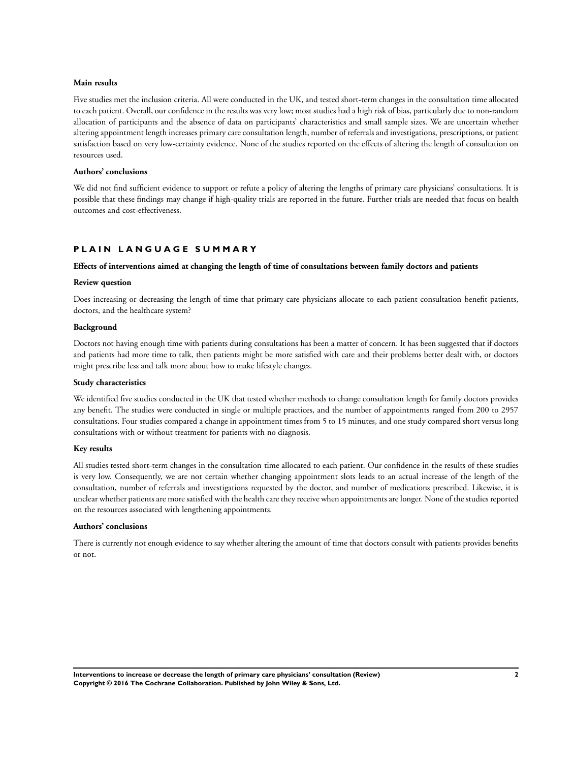#### <span id="page-4-0"></span>**Main results**

Five studies met the inclusion criteria. All were conducted in the UK, and tested short-term changes in the consultation time allocated to each patient. Overall, our confidence in the results was very low; most studies had a high risk of bias, particularly due to non-random allocation of participants and the absence of data on participants' characteristics and small sample sizes. We are uncertain whether altering appointment length increases primary care consultation length, number of referrals and investigations, prescriptions, or patient satisfaction based on very low-certainty evidence. None of the studies reported on the effects of altering the length of consultation on resources used.

#### **Authors' conclusions**

We did not find sufficient evidence to support or refute a policy of altering the lengths of primary care physicians' consultations. It is possible that these findings may change if high-quality trials are reported in the future. Further trials are needed that focus on health outcomes and cost-effectiveness.

#### **P L A I N L A N G U A G E S U M M A R Y**

#### **Effects of interventions aimed at changing the length of time of consultations between family doctors and patients**

#### **Review question**

Does increasing or decreasing the length of time that primary care physicians allocate to each patient consultation benefit patients, doctors, and the healthcare system?

#### **Background**

Doctors not having enough time with patients during consultations has been a matter of concern. It has been suggested that if doctors and patients had more time to talk, then patients might be more satisfied with care and their problems better dealt with, or doctors might prescribe less and talk more about how to make lifestyle changes.

#### **Study characteristics**

We identified five studies conducted in the UK that tested whether methods to change consultation length for family doctors provides any benefit. The studies were conducted in single or multiple practices, and the number of appointments ranged from 200 to 2957 consultations. Four studies compared a change in appointment times from 5 to 15 minutes, and one study compared short versus long consultations with or without treatment for patients with no diagnosis.

#### **Key results**

All studies tested short-term changes in the consultation time allocated to each patient. Our confidence in the results of these studies is very low. Consequently, we are not certain whether changing appointment slots leads to an actual increase of the length of the consultation, number of referrals and investigations requested by the doctor, and number of medications prescribed. Likewise, it is unclear whether patients are more satisfied with the health care they receive when appointments are longer. None of the studies reported on the resources associated with lengthening appointments.

#### **Authors' conclusions**

There is currently not enough evidence to say whether altering the amount of time that doctors consult with patients provides benefits or not.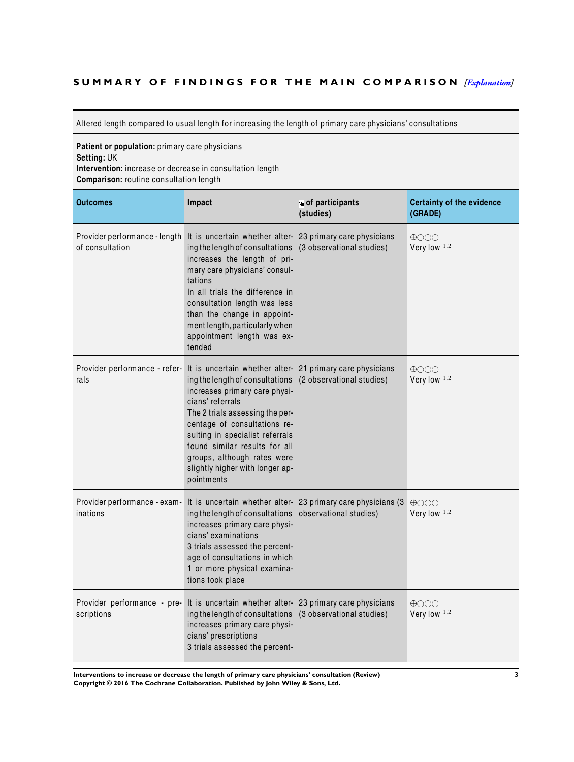## **S U M M A R Y O F F I N D I N G S F O R T H E M A I N C O M P A R I S O N** *[[Explanation\]](http://www.thecochranelibrary.com/view/0/SummaryFindings.html)*

Altered length compared to usual length for increasing the length of primary care physicians' consultations

**Patient or population:** primary care physicians **Setting:** UK **Intervention:** increase or decrease in consultation length **Comparison:** routine consultation length

| <b>Outcomes</b>                                  | Impact                                                                                                                                                                                                                                                                                                                                                                                             | № of participants<br>(studies)                               | <b>Certainty of the evidence</b><br>(GRADE)         |
|--------------------------------------------------|----------------------------------------------------------------------------------------------------------------------------------------------------------------------------------------------------------------------------------------------------------------------------------------------------------------------------------------------------------------------------------------------------|--------------------------------------------------------------|-----------------------------------------------------|
| Provider performance - length<br>of consultation | It is uncertain whether alter- 23 primary care physicians<br>ing the length of consultations (3 observational studies)<br>increases the length of pri-<br>mary care physicians' consul-<br>tations<br>In all trials the difference in<br>consultation length was less<br>than the change in appoint-<br>ment length, particularly when<br>appointment length was ex-<br>tended                     |                                                              | $\bigoplus$<br>Very low $1,2$                       |
| Provider performance - refer-<br>rals            | It is uncertain whether alter- 21 primary care physicians<br>ing the length of consultations (2 observational studies)<br>increases primary care physi-<br>cians' referrals<br>The 2 trials assessing the per-<br>centage of consultations re-<br>sulting in specialist referrals<br>found similar results for all<br>groups, although rates were<br>slightly higher with longer ap-<br>pointments |                                                              | $\bigoplus$<br>Very low 1,2                         |
| Provider performance - exam-<br>inations         | ing the length of consultations observational studies)<br>increases primary care physi-<br>cians' examinations<br>3 trials assessed the percent-<br>age of consultations in which<br>1 or more physical examina-<br>tions took place                                                                                                                                                               | It is uncertain whether alter- 23 primary care physicians (3 | $\bigoplus$<br>Very low $1,2$                       |
| Provider performance - pre-<br>scriptions        | It is uncertain whether alter- 23 primary care physicians<br>ing the length of consultations (3 observational studies)<br>increases primary care physi-<br>cians' prescriptions<br>3 trials assessed the percent-                                                                                                                                                                                  |                                                              | $\bigoplus$ $\bigcirc$ $\bigcirc$<br>Very low $1,2$ |

**Interventions to increase or decrease the length of primary care physicians' consultation (Review) 3 Copyright © 2016 The Cochrane Collaboration. Published by John Wiley & Sons, Ltd.**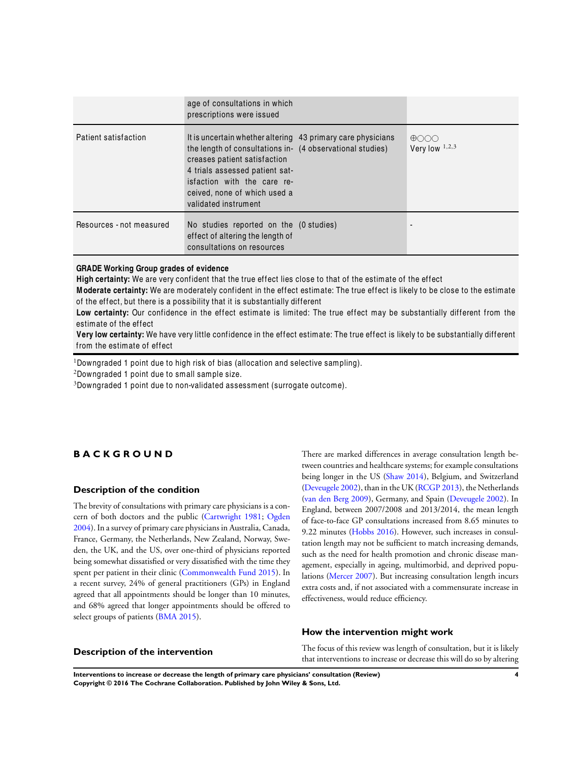|                          | age of consultations in which<br>prescriptions were issued                                                                                                                                                                                                                        |                                 |
|--------------------------|-----------------------------------------------------------------------------------------------------------------------------------------------------------------------------------------------------------------------------------------------------------------------------------|---------------------------------|
| Patient satisfaction     | It is uncertain whether altering 43 primary care physicians<br>the length of consultations in- (4 observational studies)<br>creases patient satisfaction<br>4 trials assessed patient sat-<br>isfaction with the care re-<br>ceived, none of which used a<br>validated instrument | $\bigoplus$<br>Very low $1,2,3$ |
| Resources - not measured | No studies reported on the (0 studies)<br>effect of altering the length of<br>consultations on resources                                                                                                                                                                          |                                 |

## **GRADE Working Group grades of evidence**

**High certainty:** We are very confident that the true effect lies close to that of the estimate of the effect

**M oderate certainty:** We are moderately confident in the effect estimate: The true effect is likely to be close to the estimate of the effect, but there is a possibility that it is substantially different

**Low certainty:** Our confidence in the effect estimate is limited: The true effect may be substantially different from the estimate of the effect

**Very low certainty:** We have very little confidence in the effect estimate: The true effect is likely to be substantially different from the estimate of effect

<sup>1</sup>Downgraded 1 point due to high risk of bias (allocation and selective sampling).

<sup>2</sup>Downgraded 1 point due to small sample size.

<sup>3</sup>Downgraded 1 point due to non-validated assessment (surrogate outcome).

## **B A C K G R O U N D**

#### **Description of the condition**

The brevity of consultations with primary care physicians is a concern of both doctors and the public ([Cartwright 1981;](#page-17-0) [Ogden](#page-17-0) [2004](#page-17-0)). In a survey of primary care physicians in Australia, Canada, France, Germany, the Netherlands, New Zealand, Norway, Sweden, the UK, and the US, over one-third of physicians reported being somewhat dissatisfied or very dissatisfied with the time they spent per patient in their clinic ([Commonwealth Fund 2015](#page-17-0)). In a recent survey, 24% of general practitioners (GPs) in England agreed that all appointments should be longer than 10 minutes, and 68% agreed that longer appointments should be offered to select groups of patients [\(BMA 2015\)](#page-17-0).

There are marked differences in average consultation length between countries and healthcare systems; for example consultations being longer in the US ([Shaw 2014\)](#page-17-0), Belgium, and Switzerland [\(Deveugele 2002\)](#page-17-0), than in the UK ([RCGP 2013\)](#page-17-0), the Netherlands [\(van den Berg 2009](#page-17-0)), Germany, and Spain ([Deveugele 2002\)](#page-17-0). In England, between 2007/2008 and 2013/2014, the mean length of face-to-face GP consultations increased from 8.65 minutes to 9.22 minutes [\(Hobbs 2016\)](#page-17-0). However, such increases in consultation length may not be sufficient to match increasing demands, such as the need for health promotion and chronic disease management, especially in ageing, multimorbid, and deprived populations ([Mercer 2007\)](#page-17-0). But increasing consultation length incurs extra costs and, if not associated with a commensurate increase in effectiveness, would reduce efficiency.

## **How the intervention might work**

The focus of this review was length of consultation, but it is likely that interventions to increase or decrease this will do so by altering

### **Description of the intervention**

**Interventions to increase or decrease the length of primary care physicians' consultation (Review) 4 Copyright © 2016 The Cochrane Collaboration. Published by John Wiley & Sons, Ltd.**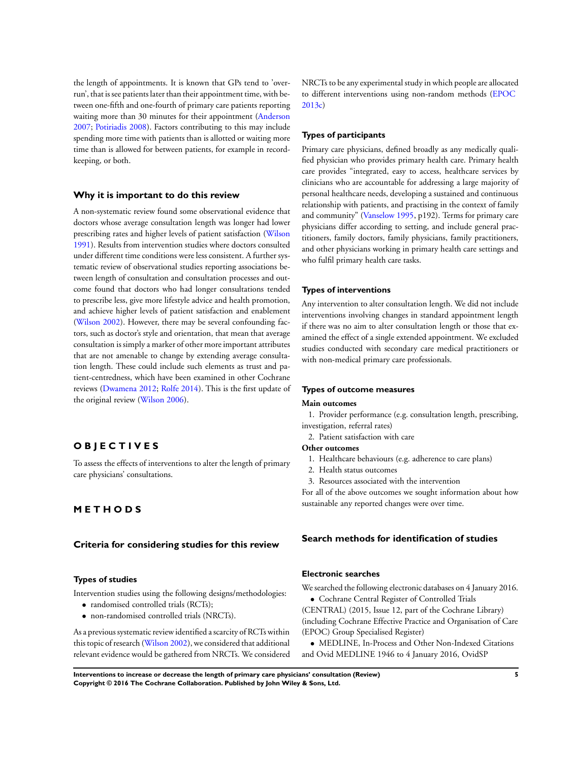the length of appointments. It is known that GPs tend to 'overrun', that is see patients later than their appointment time, with between one-fifth and one-fourth of primary care patients reporting waiting more than 30 minutes for their appointment ([Anderson](#page-17-0) [2007](#page-17-0); [Potiriadis 2008](#page-17-0)). Factors contributing to this may include spending more time with patients than is allotted or waiting more time than is allowed for between patients, for example in recordkeeping, or both.

#### **Why it is important to do this review**

A non-systematic review found some observational evidence that doctors whose average consultation length was longer had lower prescribing rates and higher levels of patient satisfaction [\(Wilson](#page-17-0) [1991](#page-17-0)). Results from intervention studies where doctors consulted under different time conditions were less consistent. A further systematic review of observational studies reporting associations between length of consultation and consultation processes and outcome found that doctors who had longer consultations tended to prescribe less, give more lifestyle advice and health promotion, and achieve higher levels of patient satisfaction and enablement [\(Wilson 2002\)](#page-17-0). However, there may be several confounding factors, such as doctor's style and orientation, that mean that average consultation is simply a marker of other more important attributes that are not amenable to change by extending average consultation length. These could include such elements as trust and patient-centredness, which have been examined in other Cochrane reviews ([Dwamena 2012](#page-17-0); [Rolfe 2014\)](#page-17-0). This is the first update of the original review ([Wilson 2006\)](#page-17-0).

## **O B J E C T I V E S**

To assess the effects of interventions to alter the length of primary care physicians' consultations.

## **M E T H O D S**

#### **Criteria for considering studies for this review**

## **Types of studies**

Intervention studies using the following designs/methodologies:

- randomised controlled trials (RCTs);
- non-randomised controlled trials (NRCTs).

As a previous systematic review identified a scarcity of RCTs within this topic of research ([Wilson 2002\)](#page-17-0), we considered that additional relevant evidence would be gathered from NRCTs. We considered NRCTs to be any experimental study in which people are allocated to different interventions using non-random methods [\(EPOC](#page-17-0) [2013c\)](#page-17-0)

#### **Types of participants**

Primary care physicians, defined broadly as any medically qualified physician who provides primary health care. Primary health care provides "integrated, easy to access, healthcare services by clinicians who are accountable for addressing a large majority of personal healthcare needs, developing a sustained and continuous relationship with patients, and practising in the context of family and community" [\(Vanselow 1995,](#page-17-0) p192). Terms for primary care physicians differ according to setting, and include general practitioners, family doctors, family physicians, family practitioners, and other physicians working in primary health care settings and who fulfil primary health care tasks.

#### **Types of interventions**

Any intervention to alter consultation length. We did not include interventions involving changes in standard appointment length if there was no aim to alter consultation length or those that examined the effect of a single extended appointment. We excluded studies conducted with secondary care medical practitioners or with non-medical primary care professionals.

#### **Types of outcome measures**

#### **Main outcomes**

1. Provider performance (e.g. consultation length, prescribing, investigation, referral rates)

2. Patient satisfaction with care

#### **Other outcomes**

- 1. Healthcare behaviours (e.g. adherence to care plans)
- 2. Health status outcomes
- 3. Resources associated with the intervention

For all of the above outcomes we sought information about how sustainable any reported changes were over time.

#### **Search methods for identification of studies**

#### **Electronic searches**

We searched the following electronic databases on 4 January 2016. • Cochrane Central Register of Controlled Trials

(CENTRAL) (2015, Issue 12, part of the Cochrane Library) (including Cochrane Effective Practice and Organisation of Care (EPOC) Group Specialised Register)

• MEDLINE, In-Process and Other Non-Indexed Citations and Ovid MEDLINE 1946 to 4 January 2016, OvidSP

**Interventions to increase or decrease the length of primary care physicians' consultation (Review) 5 Copyright © 2016 The Cochrane Collaboration. Published by John Wiley & Sons, Ltd.**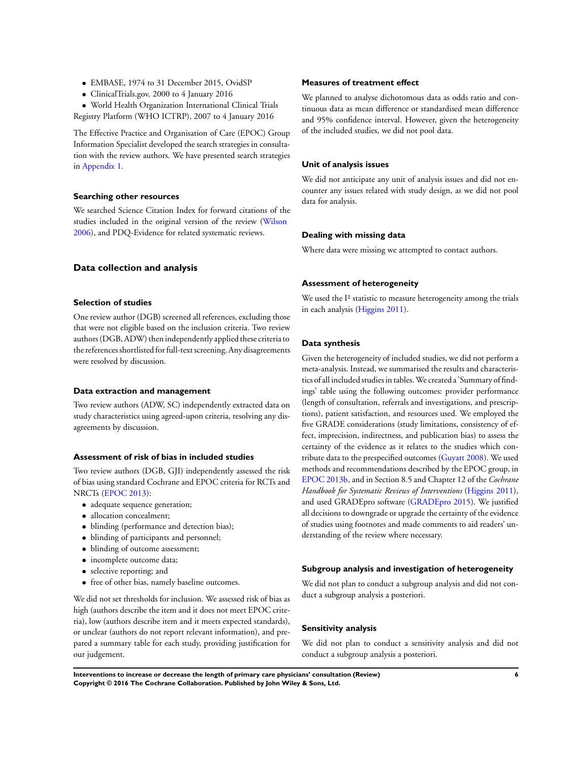- EMBASE, 1974 to 31 December 2015, OvidSP
- ClinicalTrials.gov, 2000 to 4 January 2016

• World Health Organization International Clinical Trials Registry Platform (WHO ICTRP), 2007 to 4 January 2016

The Effective Practice and Organisation of Care (EPOC) Group Information Specialist developed the search strategies in consultation with the review authors. We have presented search strategies in [Appendix 1.](#page-33-0)

#### **Searching other resources**

We searched Science Citation Index for forward citations of the studies included in the original version of the review ([Wilson](#page-17-0) [2006](#page-17-0)), and PDQ-Evidence for related systematic reviews.

#### **Data collection and analysis**

#### **Selection of studies**

One review author (DGB) screened all references, excluding those that were not eligible based on the inclusion criteria. Two review authors (DGB, ADW) then independently applied these criteria to the references shortlisted for full-text screening. Any disagreements were resolved by discussion.

#### **Data extraction and management**

Two review authors (ADW, SC) independently extracted data on study characteristics using agreed-upon criteria, resolving any disagreements by discussion.

#### **Assessment of risk of bias in included studies**

Two review authors (DGB, GJI) independently assessed the risk of bias using standard Cochrane and EPOC criteria for RCTs and NRCTs [\(EPOC 2013\)](#page-17-0):

- adequate sequence generation;
- allocation concealment;
- blinding (performance and detection bias);
- blinding of participants and personnel;
- blinding of outcome assessment;
- incomplete outcome data;
- selective reporting; and
- free of other bias, namely baseline outcomes.

We did not set thresholds for inclusion. We assessed risk of bias as high (authors describe the item and it does not meet EPOC criteria), low (authors describe item and it meets expected standards), or unclear (authors do not report relevant information), and prepared a summary table for each study, providing justification for our judgement.

#### **Measures of treatment effect**

We planned to analyse dichotomous data as odds ratio and continuous data as mean difference or standardised mean difference and 95% confidence interval. However, given the heterogeneity of the included studies, we did not pool data.

#### **Unit of analysis issues**

We did not anticipate any unit of analysis issues and did not encounter any issues related with study design, as we did not pool data for analysis.

#### **Dealing with missing data**

Where data were missing we attempted to contact authors.

#### **Assessment of heterogeneity**

We used the I<sup>2</sup> statistic to measure heterogeneity among the trials in each analysis ([Higgins 2011](#page-17-0)).

#### **Data synthesis**

Given the heterogeneity of included studies, we did not perform a meta-analysis. Instead, we summarised the results and characteristics of all included studies in tables.We created a 'Summary of findings' table using the following outcomes: provider performance (length of consultation, referrals and investigations, and prescriptions), patient satisfaction, and resources used*.* We employed the five GRADE considerations (study limitations, consistency of effect, imprecision, indirectness, and publication bias) to assess the certainty of the evidence as it relates to the studies which contribute data to the prespecified outcomes ([Guyatt 2008](#page-17-0)). We used methods and recommendations described by the EPOC group, in [EPOC 2013b](#page-17-0), and in Section 8.5 and Chapter 12 of the *Cochrane Handbook for Systematic Reviews of Interventions* [\(Higgins 2011](#page-17-0)), and used GRADEpro software ([GRADEpro 2015\)](#page-17-0). We justified all decisions to downgrade or upgrade the certainty of the evidence of studies using footnotes and made comments to aid readers' understanding of the review where necessary.

## **Subgroup analysis and investigation of heterogeneity**

We did not plan to conduct a subgroup analysis and did not conduct a subgroup analysis a posteriori.

#### **Sensitivity analysis**

We did not plan to conduct a sensitivity analysis and did not conduct a subgroup analysis a posteriori.

**Interventions to increase or decrease the length of primary care physicians' consultation (Review) 6 Copyright © 2016 The Cochrane Collaboration. Published by John Wiley & Sons, Ltd.**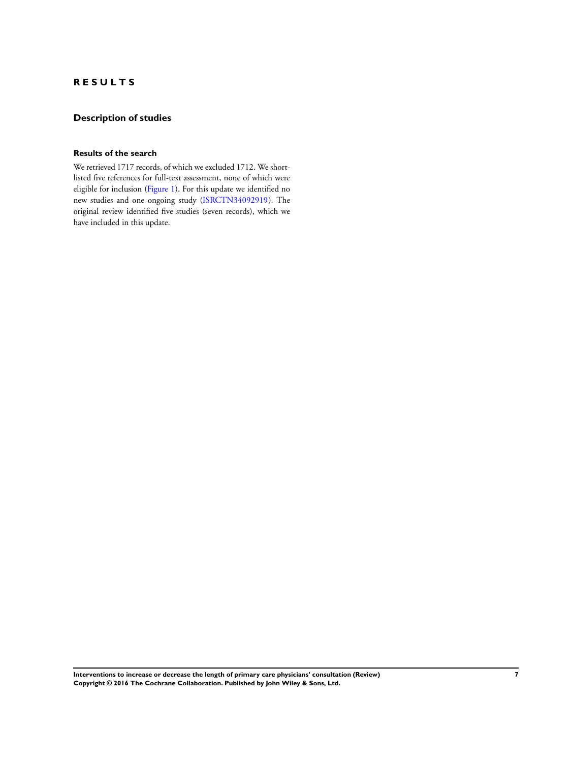## **R E S U L T S**

## **Description of studies**

## **Results of the search**

We retrieved 1717 records, of which we excluded 1712. We shortlisted five references for full-text assessment, none of which were eligible for inclusion (Figure 1). For this update we identified no new studies and one ongoing study [\(ISRCTN34092919\)](#page-17-0). The original review identified five studies (seven records), which we have included in this update.

**Interventions to increase or decrease the length of primary care physicians' consultation (Review) 7 Copyright © 2016 The Cochrane Collaboration. Published by John Wiley & Sons, Ltd.**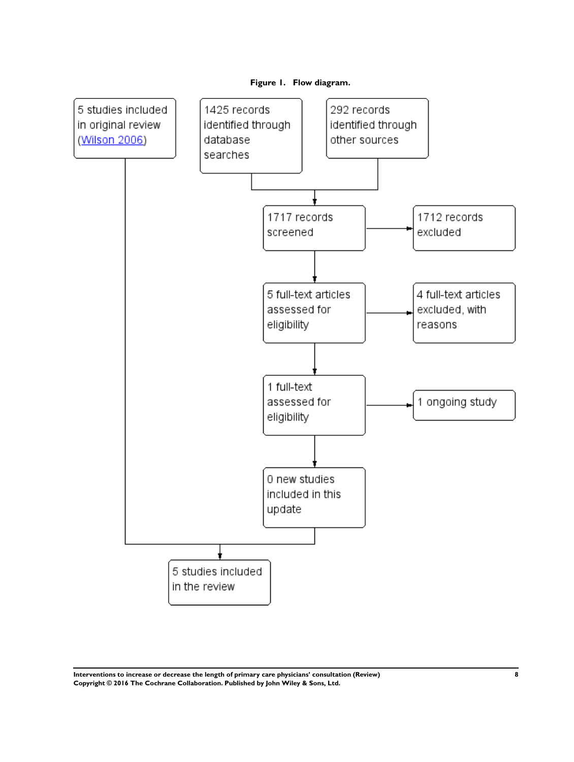

**Interventions to increase or decrease the length of primary care physicians' consultation (Review) 8 Copyright © 2016 The Cochrane Collaboration. Published by John Wiley & Sons, Ltd.**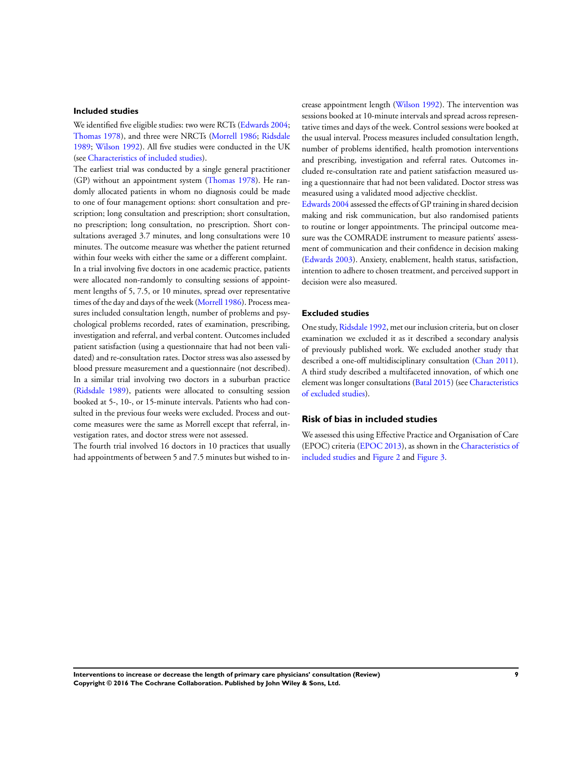#### **Included studies**

We identified five eligible studies: two were RCTs [\(Edwards 2004;](#page-17-0) [Thomas 1978](#page-17-0)), and three were NRCTs ([Morrell 1986;](#page-17-0) [Ridsdale](#page-17-0) [1989](#page-17-0); [Wilson 1992](#page-17-0)). All five studies were conducted in the UK (see [Characteristics of included studies\)](#page-20-0).

The earliest trial was conducted by a single general practitioner (GP) without an appointment system ([Thomas 1978](#page-17-0)). He randomly allocated patients in whom no diagnosis could be made to one of four management options: short consultation and prescription; long consultation and prescription; short consultation, no prescription; long consultation, no prescription. Short consultations averaged 3.7 minutes, and long consultations were 10 minutes. The outcome measure was whether the patient returned within four weeks with either the same or a different complaint. In a trial involving five doctors in one academic practice, patients were allocated non-randomly to consulting sessions of appointment lengths of 5, 7.5, or 10 minutes, spread over representative times of the day and days of the week [\(Morrell 1986\)](#page-17-0). Process measures included consultation length, number of problems and psychological problems recorded, rates of examination, prescribing, investigation and referral, and verbal content. Outcomes included patient satisfaction (using a questionnaire that had not been validated) and re-consultation rates. Doctor stress was also assessed by blood pressure measurement and a questionnaire (not described). In a similar trial involving two doctors in a suburban practice [\(Ridsdale 1989\)](#page-17-0), patients were allocated to consulting session booked at 5-, 10-, or 15-minute intervals. Patients who had consulted in the previous four weeks were excluded. Process and outcome measures were the same as Morrell except that referral, investigation rates, and doctor stress were not assessed.

The fourth trial involved 16 doctors in 10 practices that usually had appointments of between 5 and 7.5 minutes but wished to increase appointment length ([Wilson 1992](#page-17-0)). The intervention was sessions booked at 10-minute intervals and spread across representative times and days of the week. Control sessions were booked at the usual interval. Process measures included consultation length, number of problems identified, health promotion interventions and prescribing, investigation and referral rates. Outcomes included re-consultation rate and patient satisfaction measured using a questionnaire that had not been validated. Doctor stress was measured using a validated mood adjective checklist.

[Edwards 2004](#page-17-0) assessed the effects of GP training in shared decision making and risk communication, but also randomised patients to routine or longer appointments. The principal outcome measure was the COMRADE instrument to measure patients' assessment of communication and their confidence in decision making [\(Edwards 2003](#page-17-0)). Anxiety, enablement, health status, satisfaction, intention to adhere to chosen treatment, and perceived support in decision were also measured.

#### **Excluded studies**

One study, [Ridsdale 1992](#page-17-0), met our inclusion criteria, but on closer examination we excluded it as it described a secondary analysis of previously published work. We excluded another study that described a one-off multidisciplinary consultation [\(Chan 2011](#page-17-0)). A third study described a multifaceted innovation, of which one element was longer consultations ([Batal 2015](#page-17-0)) (see [Characteristics](#page-25-0) [of excluded studies\)](#page-25-0).

## **Risk of bias in included studies**

We assessed this using Effective Practice and Organisation of Care (EPOC) criteria [\(EPOC 2013\)](#page-17-0), as shown in the [Characteristics of](#page-20-0) [included studies](#page-20-0) and Figure 2 and [Figure 3.](#page-12-0)

**Interventions to increase or decrease the length of primary care physicians' consultation (Review) 9 Copyright © 2016 The Cochrane Collaboration. Published by John Wiley & Sons, Ltd.**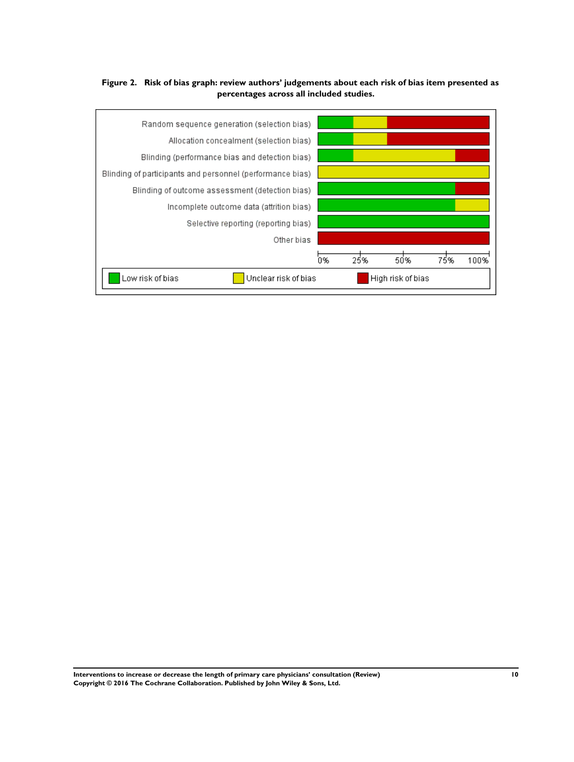## <span id="page-12-0"></span>**Figure 2. Risk of bias graph: review authors' judgements about each risk of bias item presented as percentages across all included studies.**



**Interventions to increase or decrease the length of primary care physicians' consultation (Review) 10 Copyright © 2016 The Cochrane Collaboration. Published by John Wiley & Sons, Ltd.**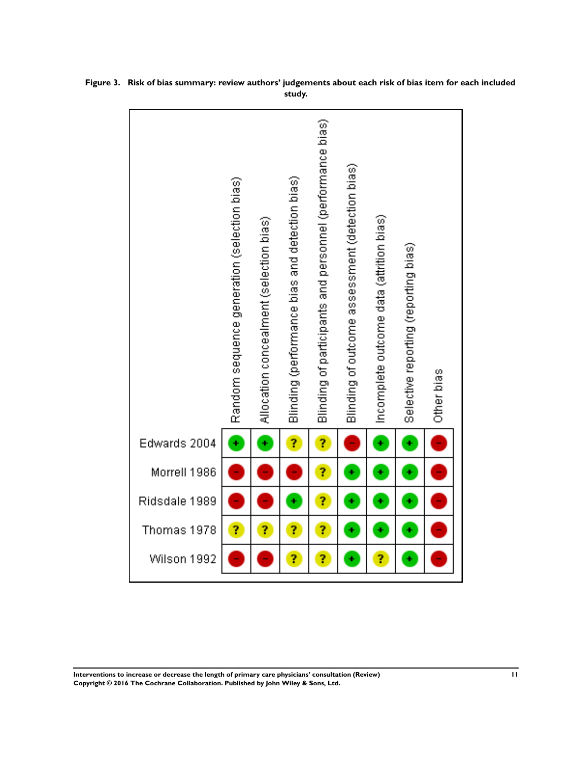|               | Random sequence generation (selection bias) | Allocation concealment (selection bias) | Blinding (performance bias and detection bias) | Blinding of participants and personnel (performance bias) | Blinding of outcome assessment (detection bias) | (Incomplete outcome data (attrition bias | Selective reporting (reporting bias) | Other bias |
|---------------|---------------------------------------------|-----------------------------------------|------------------------------------------------|-----------------------------------------------------------|-------------------------------------------------|------------------------------------------|--------------------------------------|------------|
| Edwards 2004  | ÷                                           | ÷                                       | ?                                              | ?                                                         | ÷                                               | ¥                                        | ÷                                    | $\bullet$  |
| Morrell 1986  |                                             |                                         |                                                | ?                                                         | ÷                                               | ٠                                        | ÷                                    | E          |
| Ridsdale 1989 | ÷                                           |                                         | ÷                                              | ?                                                         | ÷                                               | ÷                                        | ÷                                    | ٩          |
| Thomas 1978   | 7                                           | Ĩ,                                      | Ĩ,                                             | Ĩ,                                                        | ÷                                               | ÷                                        | ÷                                    |            |
| Wilson 1992   | ÷                                           |                                         | ?                                              | ?                                                         | ÷                                               | ?                                        | ÷                                    | ÷          |

**Figure 3. Risk of bias summary: review authors' judgements about each risk of bias item for each included study.**

**Interventions to increase or decrease the length of primary care physicians' consultation (Review) 11 Copyright © 2016 The Cochrane Collaboration. Published by John Wiley & Sons, Ltd.**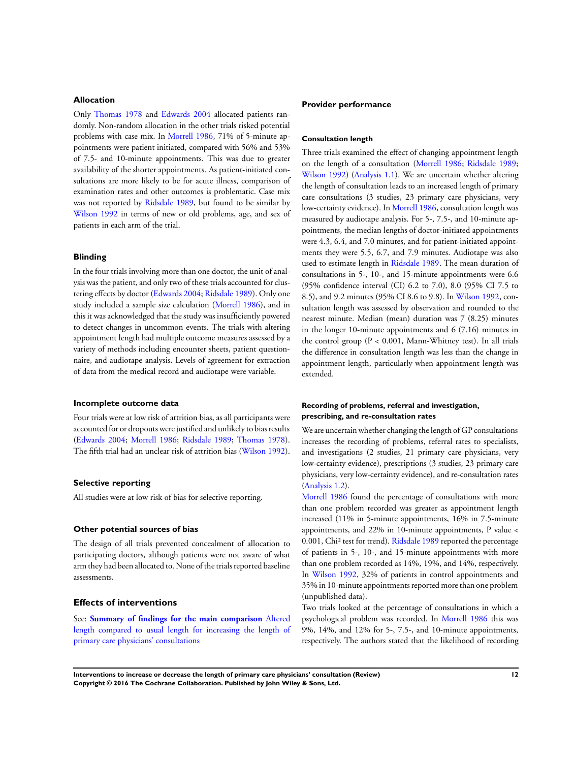#### **Allocation**

Only [Thomas 1978](#page-17-0) and [Edwards 2004](#page-17-0) allocated patients randomly. Non-random allocation in the other trials risked potential problems with case mix. In [Morrell 1986](#page-17-0), 71% of 5-minute appointments were patient initiated, compared with 56% and 53% of 7.5- and 10-minute appointments. This was due to greater availability of the shorter appointments. As patient-initiated consultations are more likely to be for acute illness, comparison of examination rates and other outcomes is problematic. Case mix was not reported by [Ridsdale 1989](#page-17-0), but found to be similar by [Wilson 1992](#page-17-0) in terms of new or old problems, age, and sex of patients in each arm of the trial.

#### **Blinding**

In the four trials involving more than one doctor, the unit of analysis was the patient, and only two of these trials accounted for clustering effects by doctor [\(Edwards 2004;](#page-17-0) [Ridsdale 1989\)](#page-17-0). Only one study included a sample size calculation [\(Morrell 1986](#page-17-0)), and in this it was acknowledged that the study was insufficiently powered to detect changes in uncommon events. The trials with altering appointment length had multiple outcome measures assessed by a variety of methods including encounter sheets, patient questionnaire, and audiotape analysis. Levels of agreement for extraction of data from the medical record and audiotape were variable.

#### **Incomplete outcome data**

Four trials were at low risk of attrition bias, as all participants were accounted for or dropouts were justified and unlikely to bias results [\(Edwards 2004](#page-17-0); [Morrell 1986;](#page-17-0) [Ridsdale 1989](#page-17-0); [Thomas 1978](#page-17-0)). The fifth trial had an unclear risk of attrition bias ([Wilson 1992](#page-17-0)).

#### **Selective reporting**

All studies were at low risk of bias for selective reporting.

#### **Other potential sources of bias**

The design of all trials prevented concealment of allocation to participating doctors, although patients were not aware of what arm they had been allocated to. None of the trials reported baseline assessments.

#### **Effects of interventions**

See: **[Summary of findings for the main comparison](#page-4-0)** [Altered](#page-4-0) [length compared to usual length for increasing the length of](#page-4-0) [primary care physicians' consultations](#page-4-0)

#### **Provider performance**

#### **Consultation length**

Three trials examined the effect of changing appointment length on the length of a consultation ([Morrell 1986](#page-17-0); [Ridsdale 1989;](#page-17-0) [Wilson 1992](#page-17-0)) ([Analysis 1.1](#page-26-0)). We are uncertain whether altering the length of consultation leads to an increased length of primary care consultations (3 studies, 23 primary care physicians, very low-certainty evidence). In [Morrell 1986](#page-17-0), consultation length was measured by audiotape analysis. For 5-, 7.5-, and 10-minute appointments, the median lengths of doctor-initiated appointments were 4.3, 6.4, and 7.0 minutes, and for patient-initiated appointments they were 5.5, 6.7, and 7.9 minutes. Audiotape was also used to estimate length in [Ridsdale 1989](#page-17-0). The mean duration of consultations in 5-, 10-, and 15-minute appointments were 6.6 (95% confidence interval (CI) 6.2 to 7.0), 8.0 (95% CI 7.5 to 8.5), and 9.2 minutes (95% CI 8.6 to 9.8). In [Wilson 1992](#page-17-0), consultation length was assessed by observation and rounded to the nearest minute. Median (mean) duration was 7 (8.25) minutes in the longer 10-minute appointments and 6 (7.16) minutes in the control group ( $P < 0.001$ , Mann-Whitney test). In all trials the difference in consultation length was less than the change in appointment length, particularly when appointment length was extended.

#### **Recording of problems, referral and investigation, prescribing, and re-consultation rates**

We are uncertain whether changing the length of GP consultations increases the recording of problems, referral rates to specialists, and investigations (2 studies, 21 primary care physicians, very low-certainty evidence), prescriptions (3 studies, 23 primary care physicians, very low-certainty evidence), and re-consultation rates [\(Analysis 1.2\)](#page-27-0).

[Morrell 1986](#page-17-0) found the percentage of consultations with more than one problem recorded was greater as appointment length increased (11% in 5-minute appointments, 16% in 7.5-minute appointments, and 22% in 10-minute appointments, P value < 0.001, Chi² test for trend). [Ridsdale 1989](#page-17-0) reported the percentage of patients in 5-, 10-, and 15-minute appointments with more than one problem recorded as 14%, 19%, and 14%, respectively. In [Wilson 1992](#page-17-0), 32% of patients in control appointments and 35% in 10-minute appointments reported more than one problem (unpublished data).

Two trials looked at the percentage of consultations in which a psychological problem was recorded. In [Morrell 1986](#page-17-0) this was 9%, 14%, and 12% for 5-, 7.5-, and 10-minute appointments, respectively. The authors stated that the likelihood of recording

**Interventions to increase or decrease the length of primary care physicians' consultation (Review) 12 Copyright © 2016 The Cochrane Collaboration. Published by John Wiley & Sons, Ltd.**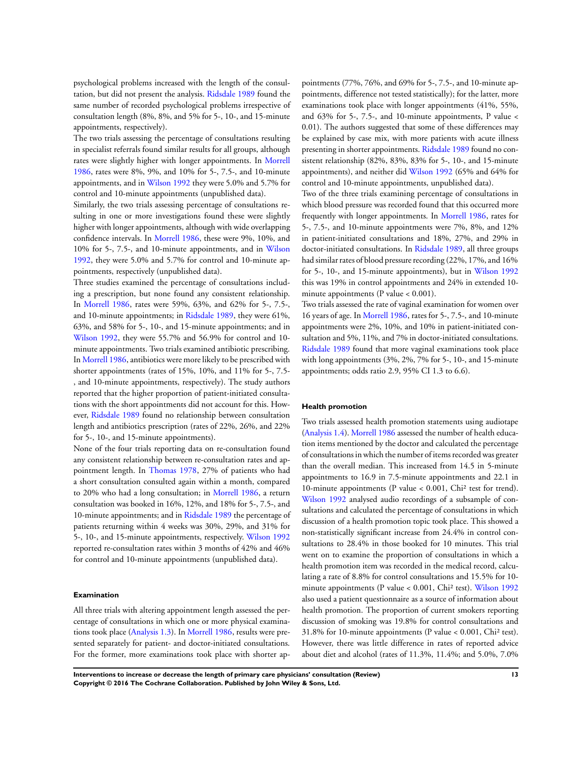psychological problems increased with the length of the consultation, but did not present the analysis. [Ridsdale 1989](#page-17-0) found the same number of recorded psychological problems irrespective of consultation length (8%, 8%, and 5% for 5-, 10-, and 15-minute appointments, respectively).

The two trials assessing the percentage of consultations resulting in specialist referrals found similar results for all groups, although rates were slightly higher with longer appointments. In [Morrell](#page-17-0) [1986](#page-17-0), rates were 8%, 9%, and 10% for 5-, 7.5-, and 10-minute appointments, and in [Wilson 1992](#page-17-0) they were 5.0% and 5.7% for control and 10-minute appointments (unpublished data).

Similarly, the two trials assessing percentage of consultations resulting in one or more investigations found these were slightly higher with longer appointments, although with wide overlapping confidence intervals. In [Morrell 1986,](#page-17-0) these were 9%, 10%, and 10% for 5-, 7.5-, and 10-minute appointments, and in [Wilson](#page-17-0) [1992](#page-17-0), they were 5.0% and 5.7% for control and 10-minute appointments, respectively (unpublished data).

Three studies examined the percentage of consultations including a prescription, but none found any consistent relationship. In [Morrell 1986,](#page-17-0) rates were 59%, 63%, and 62% for 5-, 7.5-, and 10-minute appointments; in [Ridsdale 1989](#page-17-0), they were 61%, 63%, and 58% for 5-, 10-, and 15-minute appointments; and in [Wilson 1992](#page-17-0), they were 55.7% and 56.9% for control and 10 minute appointments. Two trials examined antibiotic prescribing. In [Morrell 1986](#page-17-0), antibiotics were more likely to be prescribed with shorter appointments (rates of 15%, 10%, and 11% for 5-, 7.5- , and 10-minute appointments, respectively). The study authors reported that the higher proportion of patient-initiated consultations with the short appointments did not account for this. However, [Ridsdale 1989](#page-17-0) found no relationship between consultation length and antibiotics prescription (rates of 22%, 26%, and 22% for 5-, 10-, and 15-minute appointments).

None of the four trials reporting data on re-consultation found any consistent relationship between re-consultation rates and appointment length. In [Thomas 1978](#page-17-0), 27% of patients who had a short consultation consulted again within a month, compared to 20% who had a long consultation; in [Morrell 1986](#page-17-0), a return consultation was booked in 16%, 12%, and 18% for 5-, 7.5-, and 10-minute appointments; and in [Ridsdale 1989](#page-17-0) the percentage of patients returning within 4 weeks was 30%, 29%, and 31% for 5-, 10-, and 15-minute appointments, respectively. [Wilson 1992](#page-17-0) reported re-consultation rates within 3 months of 42% and 46% for control and 10-minute appointments (unpublished data).

#### **Examination**

All three trials with altering appointment length assessed the percentage of consultations in which one or more physical examinations took place ([Analysis 1.3\)](#page-28-0). In [Morrell 1986,](#page-17-0) results were presented separately for patient- and doctor-initiated consultations. For the former, more examinations took place with shorter ap-

pointments (77%, 76%, and 69% for 5-, 7.5-, and 10-minute appointments, difference not tested statistically); for the latter, more examinations took place with longer appointments (41%, 55%, and 63% for 5-, 7.5-, and 10-minute appointments, P value < 0.01). The authors suggested that some of these differences may be explained by case mix, with more patients with acute illness presenting in shorter appointments. [Ridsdale 1989](#page-17-0) found no consistent relationship (82%, 83%, 83% for 5-, 10-, and 15-minute appointments), and neither did [Wilson 1992](#page-17-0) (65% and 64% for control and 10-minute appointments, unpublished data).

Two of the three trials examining percentage of consultations in which blood pressure was recorded found that this occurred more frequently with longer appointments. In [Morrell 1986,](#page-17-0) rates for 5-, 7.5-, and 10-minute appointments were 7%, 8%, and 12% in patient-initiated consultations and 18%, 27%, and 29% in doctor-initiated consultations. In [Ridsdale 1989](#page-17-0), all three groups had similar rates of blood pressure recording (22%, 17%, and 16% for 5-, 10-, and 15-minute appointments), but in [Wilson 1992](#page-17-0) this was 19% in control appointments and 24% in extended 10 minute appointments (P value < 0.001).

Two trials assessed the rate of vaginal examination for women over 16 years of age. In [Morrell 1986,](#page-17-0) rates for 5-, 7.5-, and 10-minute appointments were 2%, 10%, and 10% in patient-initiated consultation and 5%, 11%, and 7% in doctor-initiated consultations. [Ridsdale 1989](#page-17-0) found that more vaginal examinations took place with long appointments (3%, 2%, 7% for 5-, 10-, and 15-minute appointments; odds ratio 2.9, 95% CI 1.3 to 6.6).

#### **Health promotion**

Two trials assessed health promotion statements using audiotape [\(Analysis 1.4](#page-30-0)). [Morrell 1986](#page-17-0) assessed the number of health education items mentioned by the doctor and calculated the percentage of consultations in which the number of items recorded was greater than the overall median. This increased from 14.5 in 5-minute appointments to 16.9 in 7.5-minute appointments and 22.1 in 10-minute appointments (P value < 0.001, Chi² test for trend). [Wilson 1992](#page-17-0) analysed audio recordings of a subsample of consultations and calculated the percentage of consultations in which discussion of a health promotion topic took place. This showed a non-statistically significant increase from 24.4% in control consultations to 28.4% in those booked for 10 minutes. This trial went on to examine the proportion of consultations in which a health promotion item was recorded in the medical record, calculating a rate of 8.8% for control consultations and 15.5% for 10 minute appointments (P value < 0.001, Chi² test). [Wilson 1992](#page-17-0) also used a patient questionnaire as a source of information about health promotion. The proportion of current smokers reporting discussion of smoking was 19.8% for control consultations and 31.8% for 10-minute appointments (P value  $< 0.001$ , Chi<sup>2</sup> test). However, there was little difference in rates of reported advice about diet and alcohol (rates of 11.3%, 11.4%; and 5.0%, 7.0%

**Interventions to increase or decrease the length of primary care physicians' consultation (Review) 13 Copyright © 2016 The Cochrane Collaboration. Published by John Wiley & Sons, Ltd.**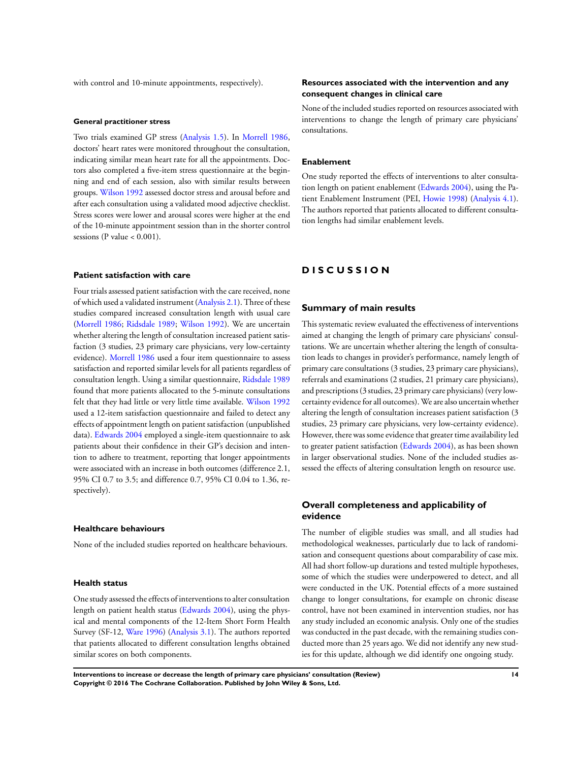with control and 10-minute appointments, respectively).

#### **General practitioner stress**

Two trials examined GP stress ([Analysis 1.5](#page-30-0)). In [Morrell 1986,](#page-17-0) doctors' heart rates were monitored throughout the consultation, indicating similar mean heart rate for all the appointments. Doctors also completed a five-item stress questionnaire at the beginning and end of each session, also with similar results between groups. [Wilson 1992](#page-17-0) assessed doctor stress and arousal before and after each consultation using a validated mood adjective checklist. Stress scores were lower and arousal scores were higher at the end of the 10-minute appointment session than in the shorter control sessions (P value < 0.001).

#### **Patient satisfaction with care**

Four trials assessed patient satisfaction with the care received, none of which used a validated instrument [\(Analysis 2.1](#page-31-0)). Three of these studies compared increased consultation length with usual care [\(Morrell 1986](#page-17-0); [Ridsdale 1989;](#page-17-0) [Wilson 1992\)](#page-17-0). We are uncertain whether altering the length of consultation increased patient satisfaction (3 studies, 23 primary care physicians, very low-certainty evidence). [Morrell 1986](#page-17-0) used a four item questionnaire to assess satisfaction and reported similar levels for all patients regardless of consultation length. Using a similar questionnaire, [Ridsdale 1989](#page-17-0) found that more patients allocated to the 5-minute consultations felt that they had little or very little time available. [Wilson 1992](#page-17-0) used a 12-item satisfaction questionnaire and failed to detect any effects of appointment length on patient satisfaction (unpublished data). [Edwards 2004](#page-17-0) employed a single-item questionnaire to ask patients about their confidence in their GP's decision and intention to adhere to treatment, reporting that longer appointments were associated with an increase in both outcomes (difference 2.1, 95% CI 0.7 to 3.5; and difference 0.7, 95% CI 0.04 to 1.36, respectively).

#### **Healthcare behaviours**

None of the included studies reported on healthcare behaviours.

#### **Health status**

One study assessed the effects of interventions to alter consultation length on patient health status [\(Edwards 2004\)](#page-17-0), using the physical and mental components of the 12-Item Short Form Health Survey (SF-12, [Ware 1996](#page-17-0)) [\(Analysis 3.1](#page-32-0)). The authors reported that patients allocated to different consultation lengths obtained similar scores on both components.

#### **Resources associated with the intervention and any consequent changes in clinical care**

None of the included studies reported on resources associated with interventions to change the length of primary care physicians' consultations.

#### **Enablement**

One study reported the effects of interventions to alter consultation length on patient enablement [\(Edwards 2004](#page-17-0)), using the Patient Enablement Instrument (PEI, [Howie 1998\)](#page-17-0) [\(Analysis 4.1](#page-32-0)). The authors reported that patients allocated to different consultation lengths had similar enablement levels.

## **D I S C U S S I O N**

#### **Summary of main results**

This systematic review evaluated the effectiveness of interventions aimed at changing the length of primary care physicians' consultations. We are uncertain whether altering the length of consultation leads to changes in provider's performance, namely length of primary care consultations (3 studies, 23 primary care physicians), referrals and examinations (2 studies, 21 primary care physicians), and prescriptions (3 studies, 23 primary care physicians) (very lowcertainty evidence for all outcomes). We are also uncertain whether altering the length of consultation increases patient satisfaction (3 studies, 23 primary care physicians, very low-certainty evidence). However, there was some evidence that greater time availability led to greater patient satisfaction [\(Edwards 2004](#page-17-0)), as has been shown in larger observational studies. None of the included studies assessed the effects of altering consultation length on resource use.

## **Overall completeness and applicability of evidence**

The number of eligible studies was small, and all studies had methodological weaknesses, particularly due to lack of randomisation and consequent questions about comparability of case mix. All had short follow-up durations and tested multiple hypotheses, some of which the studies were underpowered to detect, and all were conducted in the UK. Potential effects of a more sustained change to longer consultations, for example on chronic disease control, have not been examined in intervention studies, nor has any study included an economic analysis. Only one of the studies was conducted in the past decade, with the remaining studies conducted more than 25 years ago. We did not identify any new studies for this update, although we did identify one ongoing study.

**Interventions to increase or decrease the length of primary care physicians' consultation (Review) 14 Copyright © 2016 The Cochrane Collaboration. Published by John Wiley & Sons, Ltd.**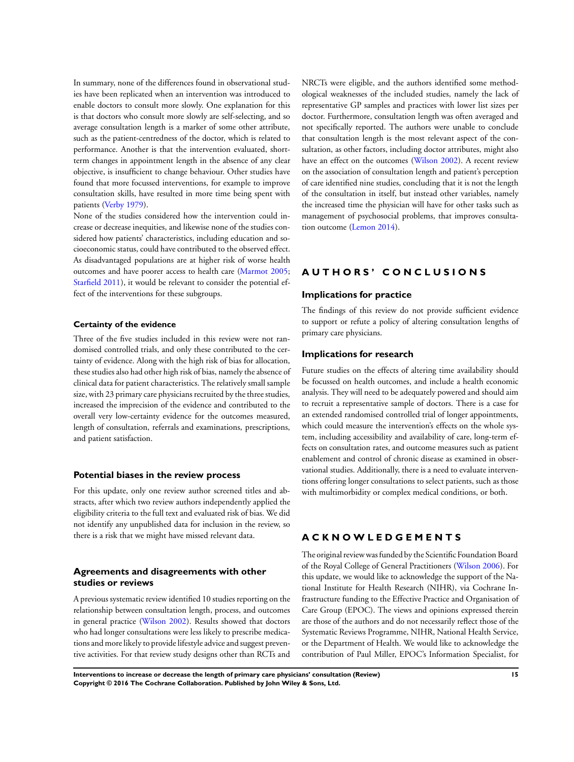<span id="page-17-0"></span>In summary, none of the differences found in observational studies have been replicated when an intervention was introduced to enable doctors to consult more slowly. One explanation for this is that doctors who consult more slowly are self-selecting, and so average consultation length is a marker of some other attribute, such as the patient-centredness of the doctor, which is related to performance. Another is that the intervention evaluated, shortterm changes in appointment length in the absence of any clear objective, is insufficient to change behaviour. Other studies have found that more focussed interventions, for example to improve consultation skills, have resulted in more time being spent with patients (Verby 1979).

None of the studies considered how the intervention could increase or decrease inequities, and likewise none of the studies considered how patients' characteristics, including education and socioeconomic status, could have contributed to the observed effect. As disadvantaged populations are at higher risk of worse health outcomes and have poorer access to health care (Marmot 2005; Starfield 2011), it would be relevant to consider the potential effect of the interventions for these subgroups.

#### **Certainty of the evidence**

Three of the five studies included in this review were not randomised controlled trials, and only these contributed to the certainty of evidence. Along with the high risk of bias for allocation, these studies also had other high risk of bias, namely the absence of clinical data for patient characteristics. The relatively small sample size, with 23 primary care physicians recruited by the three studies, increased the imprecision of the evidence and contributed to the overall very low-certainty evidence for the outcomes measured, length of consultation, referrals and examinations, prescriptions, and patient satisfaction.

#### **Potential biases in the review process**

For this update, only one review author screened titles and abstracts, after which two review authors independently applied the eligibility criteria to the full text and evaluated risk of bias. We did not identify any unpublished data for inclusion in the review, so there is a risk that we might have missed relevant data.

## **Agreements and disagreements with other studies or reviews**

A previous systematic review identified 10 studies reporting on the relationship between consultation length, process, and outcomes in general practice (Wilson 2002). Results showed that doctors who had longer consultations were less likely to prescribe medications and more likely to provide lifestyle advice and suggest preventive activities. For that review study designs other than RCTs and NRCTs were eligible, and the authors identified some methodological weaknesses of the included studies, namely the lack of representative GP samples and practices with lower list sizes per doctor. Furthermore, consultation length was often averaged and not specifically reported. The authors were unable to conclude that consultation length is the most relevant aspect of the consultation, as other factors, including doctor attributes, might also have an effect on the outcomes (Wilson 2002). A recent review on the association of consultation length and patient's perception of care identified nine studies, concluding that it is not the length of the consultation in itself, but instead other variables, namely the increased time the physician will have for other tasks such as management of psychosocial problems, that improves consultation outcome (Lemon 2014).

## **A U T H O R S ' C O N C L U S I O N S**

#### **Implications for practice**

The findings of this review do not provide sufficient evidence to support or refute a policy of altering consultation lengths of primary care physicians.

#### **Implications for research**

Future studies on the effects of altering time availability should be focussed on health outcomes, and include a health economic analysis. They will need to be adequately powered and should aim to recruit a representative sample of doctors. There is a case for an extended randomised controlled trial of longer appointments, which could measure the intervention's effects on the whole system, including accessibility and availability of care, long-term effects on consultation rates, and outcome measures such as patient enablement and control of chronic disease as examined in observational studies. Additionally, there is a need to evaluate interventions offering longer consultations to select patients, such as those with multimorbidity or complex medical conditions, or both.

## **A C K N O W L E D G E M E N T S**

The original review was funded by the Scientific Foundation Board of the Royal College of General Practitioners (Wilson 2006). For this update, we would like to acknowledge the support of the National Institute for Health Research (NIHR), via Cochrane Infrastructure funding to the Effective Practice and Organisation of Care Group (EPOC). The views and opinions expressed therein are those of the authors and do not necessarily reflect those of the Systematic Reviews Programme, NIHR, National Health Service, or the Department of Health. We would like to acknowledge the contribution of Paul Miller, EPOC's Information Specialist, for

**Interventions to increase or decrease the length of primary care physicians' consultation (Review) 15 Copyright © 2016 The Cochrane Collaboration. Published by John Wiley & Sons, Ltd.**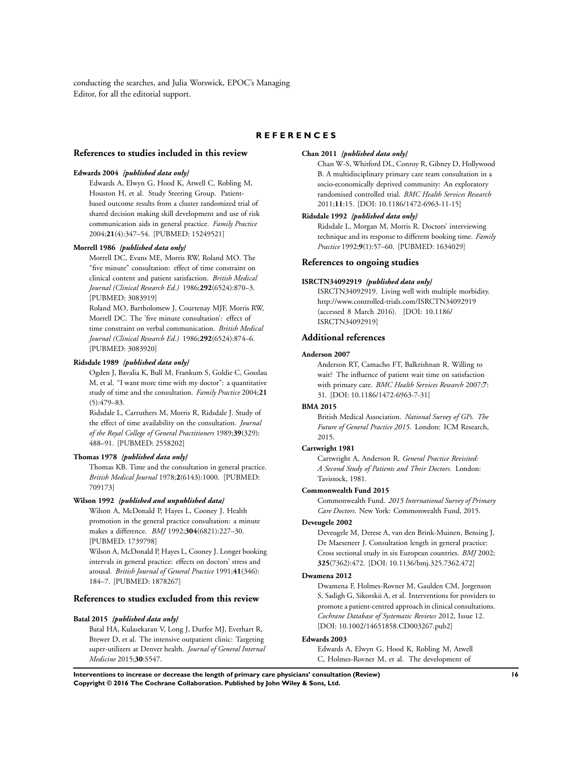conducting the searches, and Julia Worswick, EPOC's Managing Editor, for all the editorial support.

## **R E F E R E N C E S**

#### **References to studies included in this review**

#### **Edwards 2004** *{published data only}*

Edwards A, Elwyn G, Hood K, Atwell C, Robling M, Houston H, et al. Study Steering Group. Patientbased outcome results from a cluster randomized trial of shared decision making skill development and use of risk communication aids in general practice. *Family Practice* 2004;**21**(4):347–54. [PUBMED: 15249521]

#### **Morrell 1986** *{published data only}*

Morrell DC, Evans ME, Morris RW, Roland MO. The "five minute" consultation: effect of time constraint on clinical content and patient satisfaction. *British Medical Journal (Clinical Research Ed.)* 1986;**292**(6524):870–3. [PUBMED: 3083919]

Roland MO, Bartholomew J, Courtenay MJF, Morris RW, Morrell DC. The 'five minute consultation': effect of time constraint on verbal communication. *British Medical Journal (Clinical Research Ed.)* 1986;**292**(6524):874–6. [PUBMED: 3083920]

#### **Ridsdale 1989** *{published data only}*

Ogden J, Bavalia K, Bull M, Frankum S, Goldie C, Gosslau M, et al. "I want more time with my doctor": a quantitative study of time and the consultation. *Family Practice* 2004;**21** (5):479–83.

Ridsdale L, Carruthers M, Morris R, Ridsdale J. Study of the effect of time availability on the consultation. *Journal of the Royal College of General Practitioners* 1989;**39**(329): 488–91. [PUBMED: 2558202]

#### **Thomas 1978** *{published data only}*

Thomas KB. Time and the consultation in general practice. *British Medical Journal* 1978;**2**(6143):1000. [PUBMED: 709173]

#### **Wilson 1992** *{published and unpublished data}*

Wilson A, McDonald P, Hayes L, Cooney J. Health promotion in the general practice consultation: a minute makes a difference. *BMJ* 1992;**304**(6821):227–30. [PUBMED: 1739798]

Wilson A, McDonald P, Hayes L, Cooney J. Longer booking intervals in general practice: effects on doctors' stress and arousal. *British Journal of General Practice* 1991;**41**(346): 184–7. [PUBMED: 1878267]

## **References to studies excluded from this review**

#### **Batal 2015** *{published data only}*

Batal HA, Kulasekaran V, Long J, Durfee MJ, Everhart R, Brewer D, et al. The intensive outpatient clinic: Targeting super-utilizers at Denver health. *Journal of General Internal Medicine* 2015;**30**:S547.

#### **Chan 2011** *{published data only}*

Chan W-S, Whitford DL, Conroy R, Gibney D, Hollywood B. A multidisciplinary primary care team consultation in a socio-economically deprived community: An exploratory randomised controlled trial. *BMC Health Services Research* 2011;**11**:15. [DOI: 10.1186/1472-6963-11-15]

#### **Ridsdale 1992** *{published data only}*

Ridsdale L, Morgan M, Morris R. Doctors' interviewing technique and its response to different booking time. *Family Practice* 1992;**9**(1):57–60. [PUBMED: 1634029]

#### **References to ongoing studies**

#### **ISRCTN34092919** *{published data only}*

ISRCTN34092919. Living well with multiple morbidity. http://www.controlled-trials.com/ISRCTN34092919 (accessed 8 March 2016). [DOI: 10.1186/ ISRCTN34092919]

#### **Additional references**

#### **Anderson 2007**

Anderson RT, Camacho FT, Balkrishnan R. Willing to wait? The influence of patient wait time on satisfaction with primary care. *BMC Health Services Research* 2007;**7**: 31. [DOI: 10.1186/1472-6963-7-31]

#### **BMA 2015**

British Medical Association. *National Survey of GPs. The Future of General Practice 2015*. London: ICM Research, 2015.

#### **Cartwright 1981**

Cartwright A, Anderson R. *General Practice Revisited: A Second Study of Patients and Their Doctors*. London: Tavistock, 1981.

#### **Commonwealth Fund 2015**

Commonwealth Fund. *2015 International Survey of Primary Care Doctors*. New York: Commonwealth Fund, 2015.

#### **Deveugele 2002**

Deveugele M, Derese A, van den Brink-Muinen, Bensing J, De Maeseneer J. Consultation length in general practice: Cross sectional study in six European countries. *BMJ* 2002; **325**(7362):472. [DOI: 10.1136/bmj.325.7362.472]

#### **Dwamena 2012**

Dwamena F, Holmes-Rovner M, Gaulden CM, Jorgenson S, Sadigh G, Sikorskii A, et al. Interventions for providers to promote a patient-centred approach in clinical consultations. *Cochrane Database of Systematic Reviews* 2012, Issue 12. [DOI: 10.1002/14651858.CD003267.pub2]

#### **Edwards 2003**

Edwards A, Elwyn G, Hood K, Robling M, Atwell C, Holmes-Rovner M, et al. The development of

**Interventions to increase or decrease the length of primary care physicians' consultation (Review) 16 Copyright © 2016 The Cochrane Collaboration. Published by John Wiley & Sons, Ltd.**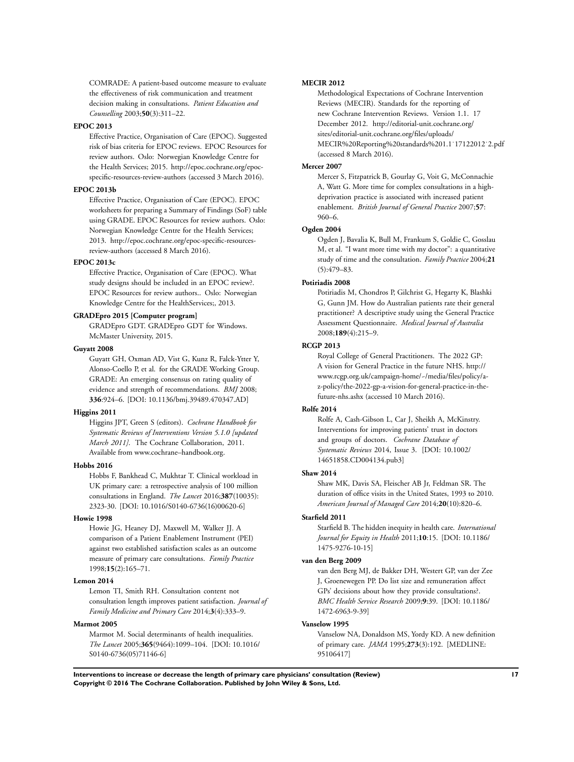COMRADE: A patient-based outcome measure to evaluate the effectiveness of risk communication and treatment decision making in consultations. *Patient Education and Counselling* 2003;**50**(3):311–22.

#### **EPOC 2013**

Effective Practice, Organisation of Care (EPOC). Suggested risk of bias criteria for EPOC reviews. EPOC Resources for review authors. Oslo: Norwegian Knowledge Centre for the Health Services; 2015. http://epoc.cochrane.org/epocspecific-resources-review-authors (accessed 3 March 2016).

#### **EPOC 2013b**

Effective Practice, Organisation of Care (EPOC). EPOC worksheets for preparing a Summary of Findings (SoF) table using GRADE. EPOC Resources for review authors. Oslo: Norwegian Knowledge Centre for the Health Services; 2013. http://epoc.cochrane.org/epoc-specific-resourcesreview-authors (accessed 8 March 2016).

#### **EPOC 2013c**

Effective Practice, Organisation of Care (EPOC). What study designs should be included in an EPOC review?. EPOC Resources for review authors.. Oslo: Norwegian Knowledge Centre for the HealthServices;, 2013.

## **GRADEpro 2015 [Computer program]**

GRADEpro GDT. GRADEpro GDT for Windows. McMaster University, 2015.

#### **Guyatt 2008**

Guyatt GH, Oxman AD, Vist G, Kunz R, Falck-Ytter Y, Alonso-Coello P, et al. for the GRADE Working Group. GRADE: An emerging consensus on rating quality of evidence and strength of recommendations. *BMJ* 2008; **336**:924–6. [DOI: 10.1136/bmj.39489.470347.AD]

#### **Higgins 2011**

Higgins JPT, Green S (editors). *Cochrane Handbook for Systematic Reviews of Interventions Version 5.1.0 [updated March 2011]*. The Cochrane Collaboration, 2011. Available from www.cochrane–handbook.org.

#### **Hobbs 2016**

Hobbs F, Bankhead C, Mukhtar T. Clinical workload in UK primary care: a retrospective analysis of 100 million consultations in England. *The Lancet* 2016;**387**(10035): 2323-30. [DOI: 10.1016/S0140-6736(16)00620-6]

#### **Howie 1998**

Howie JG, Heaney DJ, Maxwell M, Walker JJ. A comparison of a Patient Enablement Instrument (PEI) against two established satisfaction scales as an outcome measure of primary care consultations. *Family Practice* 1998;**15**(2):165–71.

#### **Lemon 2014**

Lemon TI, Smith RH. Consultation content not consultation length improves patient satisfaction. *Journal of Family Medicine and Primary Care* 2014;**3**(4):333–9.

#### **Marmot 2005**

Marmot M. Social determinants of health inequalities. *The Lancet* 2005;**365**(9464):1099–104. [DOI: 10.1016/ S0140-6736(05)71146-6]

#### **MECIR 2012**

Methodological Expectations of Cochrane Intervention Reviews (MECIR). Standards for the reporting of new Cochrane Intervention Reviews. Version 1.1. 17 December 2012. http://editorial-unit.cochrane.org/ sites/editorial-unit.cochrane.org/files/uploads/ MECIR%20Reporting%20standards%201.1˙17122012˙2.pdf (accessed 8 March 2016).

#### **Mercer 2007**

Mercer S, Fitzpatrick B, Gourlay G, Voit G, McConnachie A, Watt G. More time for complex consultations in a highdeprivation practice is associated with increased patient enablement. *British Journal of General Practice* 2007;**57**: 960–6.

#### **Ogden 2004**

Ogden J, Bavalia K, Bull M, Frankum S, Goldie C, Gosslau M, et al. "I want more time with my doctor": a quantitative study of time and the consultation. *Family Practice* 2004;**21** (5):479–83.

#### **Potiriadis 2008**

Potiriadis M, Chondros P, Gilchrist G, Hegarty K, Blashki G, Gunn JM. How do Australian patients rate their general practitioner? A descriptive study using the General Practice Assessment Questionnaire. *Medical Journal of Australia* 2008;**189**(4):215–9.

#### **RCGP 2013**

Royal College of General Practitioners. The 2022 GP: A vision for General Practice in the future NHS. http:// www.rcgp.org.uk/campaign-home/~/media/files/policy/az-policy/the-2022-gp-a-vision-for-general-practice-in-thefuture-nhs.ashx (accessed 10 March 2016).

#### **Rolfe 2014**

Rolfe A, Cash-Gibson L, Car J, Sheikh A, McKinstry. Interventions for improving patients' trust in doctors and groups of doctors. *Cochrane Database of Systematic Reviews* 2014, Issue 3. [DOI: 10.1002/ 14651858.CD004134.pub3]

#### **Shaw 2014**

Shaw MK, Davis SA, Fleischer AB Jr, Feldman SR. The duration of office visits in the United States, 1993 to 2010. *American Journal of Managed Care* 2014;**20**(10):820–6.

#### **Starfield 2011**

Starfield B. The hidden inequity in health care. *International Journal for Equity in Health* 2011;**10**:15. [DOI: 10.1186/ 1475-9276-10-15]

#### **van den Berg 2009**

van den Berg MJ, de Bakker DH, Westert GP, van der Zee J, Groenewegen PP. Do list size and remuneration affect GPs' decisions about how they provide consultations?. *BMC Health Service Research* 2009;**9**:39. [DOI: 10.1186/ 1472-6963-9-39]

#### **Vanselow 1995**

Vanselow NA, Donaldson MS, Yordy KD. A new definition of primary care. *JAMA* 1995;**273**(3):192. [MEDLINE: 95106417]

**Interventions to increase or decrease the length of primary care physicians' consultation (Review) 17 Copyright © 2016 The Cochrane Collaboration. Published by John Wiley & Sons, Ltd.**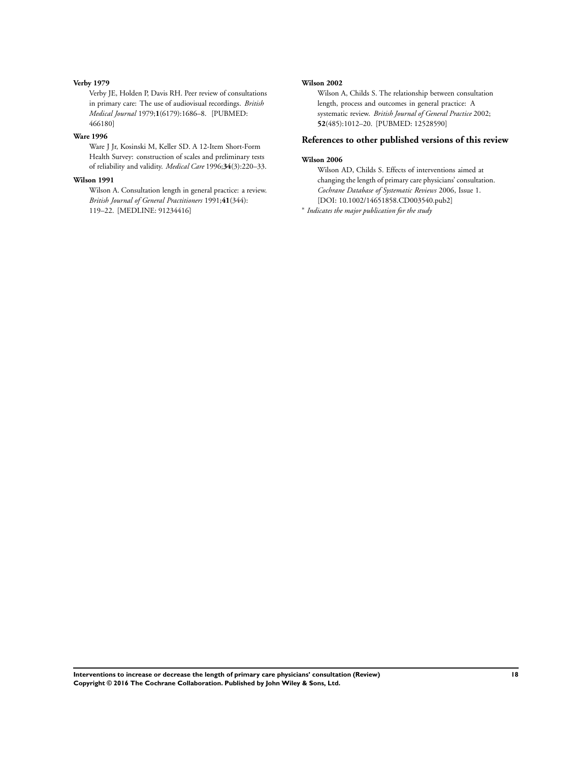#### <span id="page-20-0"></span>**Verby 1979**

Verby JE, Holden P, Davis RH. Peer review of consultations in primary care: The use of audiovisual recordings. *British Medical Journal* 1979;**1**(6179):1686–8. [PUBMED: 466180]

## **Ware 1996**

Ware J Jr, Kosinski M, Keller SD. A 12-Item Short-Form Health Survey: construction of scales and preliminary tests of reliability and validity. *Medical Care* 1996;**34**(3):220–33.

#### **Wilson 1991**

Wilson A. Consultation length in general practice: a review. *British Journal of General Practitioners* 1991;**41**(344): 119–22. [MEDLINE: 91234416]

#### **Wilson 2002**

Wilson A, Childs S. The relationship between consultation length, process and outcomes in general practice: A systematic review. *British Journal of General Practice* 2002; **52**(485):1012–20. [PUBMED: 12528590]

#### **References to other published versions of this review**

#### **Wilson 2006**

Wilson AD, Childs S. Effects of interventions aimed at changing the length of primary care physicians' consultation. *Cochrane Database of Systematic Reviews* 2006, Issue 1. [DOI: 10.1002/14651858.CD003540.pub2]

∗ *Indicates the major publication for the study*

**Interventions to increase or decrease the length of primary care physicians' consultation (Review) 18 Copyright © 2016 The Cochrane Collaboration. Published by John Wiley & Sons, Ltd.**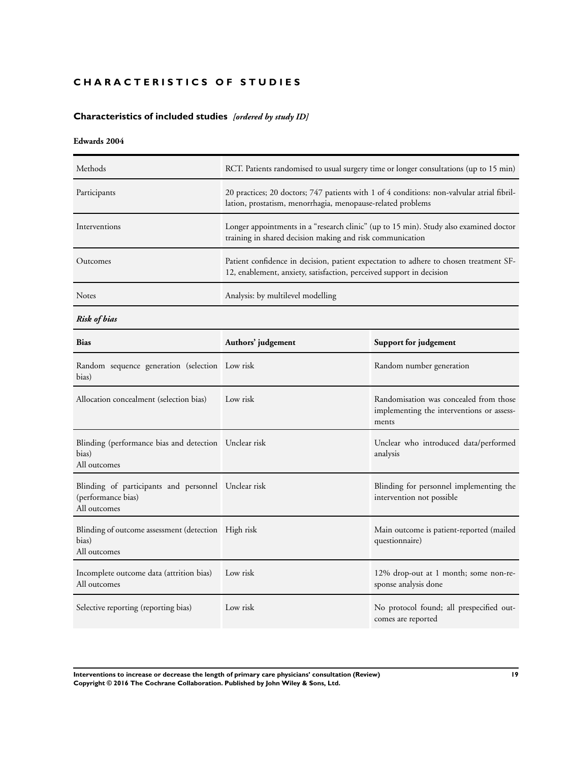## **CHARACTERISTICS OF STUDIES**

## **Characteristics of included studies** *[ordered by study ID]*

## **Edwards 2004**

| Methods       | RCT. Patients randomised to usual surgery time or longer consultations (up to 15 min)                                                                         |
|---------------|---------------------------------------------------------------------------------------------------------------------------------------------------------------|
| Participants  | 20 practices; 20 doctors; 747 patients with 1 of 4 conditions: non-valvular atrial fibril-<br>lation, prostatism, menorrhagia, menopause-related problems     |
| Interventions | Longer appointments in a "research clinic" (up to 15 min). Study also examined doctor<br>training in shared decision making and risk communication            |
| Outcomes      | Patient confidence in decision, patient expectation to adhere to chosen treatment SF-<br>12, enablement, anxiety, satisfaction, perceived support in decision |
| <b>Notes</b>  | Analysis: by multilevel modelling                                                                                                                             |

*Risk of bias*

| <b>Bias</b>                                                                               | Authors' judgement | Support for judgement                                                                        |
|-------------------------------------------------------------------------------------------|--------------------|----------------------------------------------------------------------------------------------|
| Random sequence generation (selection Low risk<br>bias)                                   |                    | Random number generation                                                                     |
| Allocation concealment (selection bias)                                                   | Low risk           | Randomisation was concealed from those<br>implementing the interventions or assess-<br>ments |
| Blinding (performance bias and detection Unclear risk<br>bias)<br>All outcomes            |                    | Unclear who introduced data/performed<br>analysis                                            |
| Blinding of participants and personnel Unclear risk<br>(performance bias)<br>All outcomes |                    | Blinding for personnel implementing the<br>intervention not possible                         |
| Blinding of outcome assessment (detection High risk<br>bias)<br>All outcomes              |                    | Main outcome is patient-reported (mailed<br>questionnaire)                                   |
| Incomplete outcome data (attrition bias)<br>All outcomes                                  | Low risk           | 12% drop-out at 1 month; some non-re-<br>sponse analysis done                                |
| Selective reporting (reporting bias)                                                      | Low risk           | No protocol found; all prespecified out-<br>comes are reported                               |

**Interventions to increase or decrease the length of primary care physicians' consultation (Review) 19 Copyright © 2016 The Cochrane Collaboration. Published by John Wiley & Sons, Ltd.**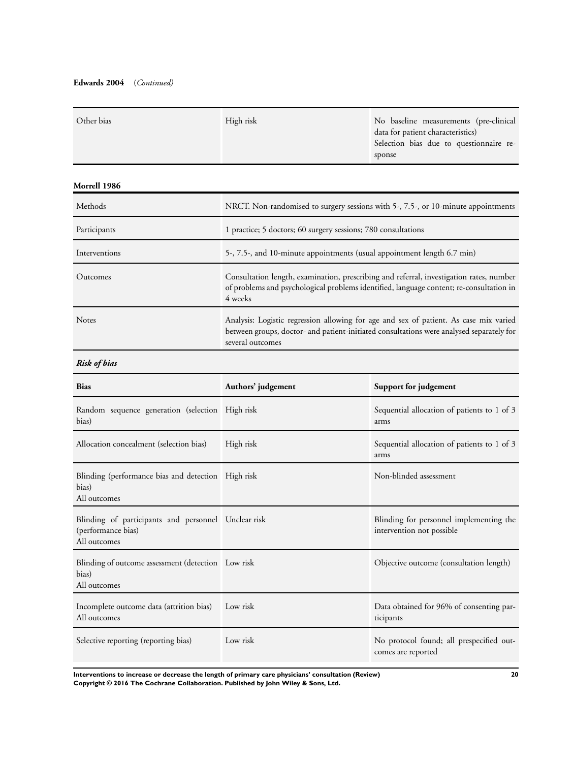## **Edwards 2004** (*Continued)*

| Other bias                    | High risk | No baseline measurements (pre-clinical<br>data for patient characteristics)<br>Selection bias due to questionnaire re-<br>sponse |
|-------------------------------|-----------|----------------------------------------------------------------------------------------------------------------------------------|
| $M$ <sub>orra</sub> ll $1086$ |           |                                                                                                                                  |

## **Morrell 1986**

| Methods         | NRCT. Non-randomised to surgery sessions with 5-, 7.5-, or 10-minute appointments                                                                                                                     |
|-----------------|-------------------------------------------------------------------------------------------------------------------------------------------------------------------------------------------------------|
| Participants    | 1 practice; 5 doctors; 60 surgery sessions; 780 consultations                                                                                                                                         |
| Interventions   | 5-, 7.5-, and 10-minute appointments (usual appointment length 6.7 min)                                                                                                                               |
| <b>Outcomes</b> | Consultation length, examination, prescribing and referral, investigation rates, number<br>of problems and psychological problems identified, language content; re-consultation in<br>4 weeks         |
| <b>Notes</b>    | Analysis: Logistic regression allowing for age and sex of patient. As case mix varied<br>between groups, doctor- and patient-initiated consultations were analysed separately for<br>several outcomes |

## *Risk of bias*

| <b>Bias</b>                                                                               | Authors' judgement | Support for judgement                                                |
|-------------------------------------------------------------------------------------------|--------------------|----------------------------------------------------------------------|
| Random sequence generation (selection High risk<br>bias)                                  |                    | Sequential allocation of patients to 1 of 3<br>arms                  |
| Allocation concealment (selection bias)                                                   | High risk          | Sequential allocation of patients to 1 of 3<br>arms                  |
| Blinding (performance bias and detection High risk<br>bias)<br>All outcomes               |                    | Non-blinded assessment                                               |
| Blinding of participants and personnel Unclear risk<br>(performance bias)<br>All outcomes |                    | Blinding for personnel implementing the<br>intervention not possible |
| Blinding of outcome assessment (detection Low risk<br>bias)<br>All outcomes               |                    | Objective outcome (consultation length)                              |
| Incomplete outcome data (attrition bias)<br>All outcomes                                  | Low risk           | Data obtained for 96% of consenting par-<br>ticipants                |
| Selective reporting (reporting bias)                                                      | Low risk           | No protocol found; all prespecified out-<br>comes are reported       |

**Interventions to increase or decrease the length of primary care physicians' consultation (Review) 20 Copyright © 2016 The Cochrane Collaboration. Published by John Wiley & Sons, Ltd.**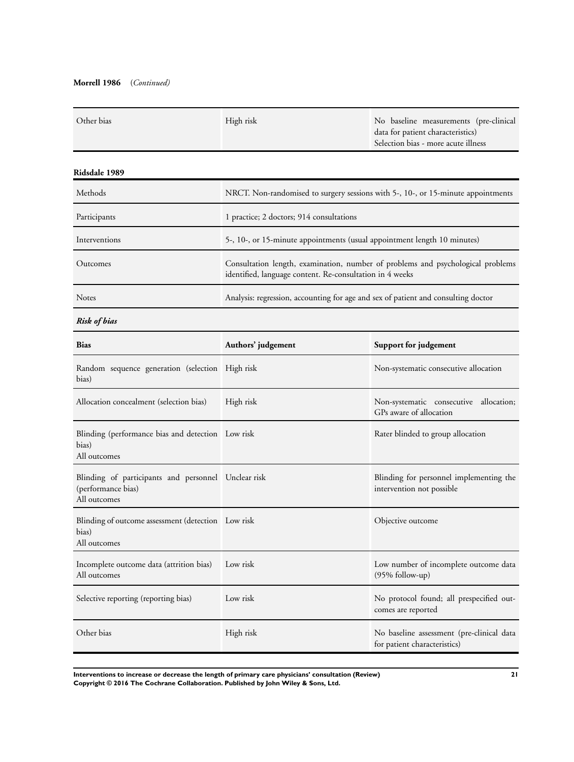## **Morrell 1986** (*Continued)*

| Other bias                                                                                | High risk                                                                                                                                   | No baseline measurements (pre-clinical<br>data for patient characteristics)<br>Selection bias - more acute illness |  |  |  |
|-------------------------------------------------------------------------------------------|---------------------------------------------------------------------------------------------------------------------------------------------|--------------------------------------------------------------------------------------------------------------------|--|--|--|
| Ridsdale 1989                                                                             |                                                                                                                                             |                                                                                                                    |  |  |  |
| Methods                                                                                   |                                                                                                                                             | NRCT. Non-randomised to surgery sessions with 5-, 10-, or 15-minute appointments                                   |  |  |  |
| Participants                                                                              | 1 practice; 2 doctors; 914 consultations                                                                                                    |                                                                                                                    |  |  |  |
| Interventions                                                                             | 5-, 10-, or 15-minute appointments (usual appointment length 10 minutes)                                                                    |                                                                                                                    |  |  |  |
| Outcomes                                                                                  | Consultation length, examination, number of problems and psychological problems<br>identified, language content. Re-consultation in 4 weeks |                                                                                                                    |  |  |  |
| Notes                                                                                     | Analysis: regression, accounting for age and sex of patient and consulting doctor                                                           |                                                                                                                    |  |  |  |
| Risk of bias                                                                              |                                                                                                                                             |                                                                                                                    |  |  |  |
| Bias                                                                                      | Authors' judgement                                                                                                                          | Support for judgement                                                                                              |  |  |  |
| Random sequence generation (selection High risk<br>bias)                                  |                                                                                                                                             | Non-systematic consecutive allocation                                                                              |  |  |  |
| Allocation concealment (selection bias)                                                   | High risk                                                                                                                                   | Non-systematic consecutive allocation;<br>GPs aware of allocation                                                  |  |  |  |
| Blinding (performance bias and detection Low risk<br>bias)<br>All outcomes                |                                                                                                                                             | Rater blinded to group allocation                                                                                  |  |  |  |
| Blinding of participants and personnel Unclear risk<br>(performance bias)<br>All outcomes |                                                                                                                                             | Blinding for personnel implementing the<br>intervention not possible                                               |  |  |  |
| Blinding of outcome assessment (detection Low risk<br>bias)<br>All outcomes               |                                                                                                                                             | Objective outcome                                                                                                  |  |  |  |
| Incomplete outcome data (attrition bias)<br>All outcomes                                  | Low risk                                                                                                                                    | Low number of incomplete outcome data<br>$(95\%$ follow-up)                                                        |  |  |  |
| Selective reporting (reporting bias)                                                      | Low risk                                                                                                                                    | No protocol found; all prespecified out-<br>comes are reported                                                     |  |  |  |
| Other bias                                                                                | High risk                                                                                                                                   | No baseline assessment (pre-clinical data<br>for patient characteristics)                                          |  |  |  |

**Interventions to increase or decrease the length of primary care physicians' consultation (Review) 21 Copyright © 2016 The Cochrane Collaboration. Published by John Wiley & Sons, Ltd.**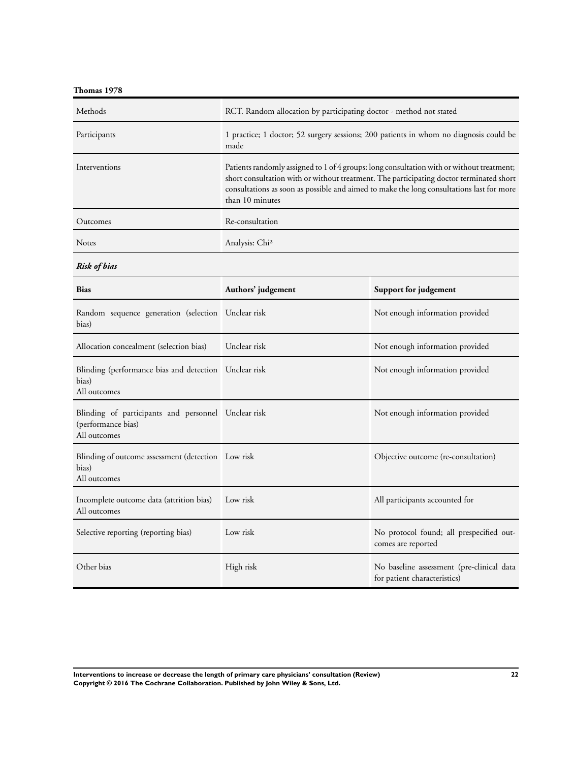**Thomas 1978**

| Methods       | RCT. Random allocation by participating doctor - method not stated                                                                                                                                                                                                                                  |
|---------------|-----------------------------------------------------------------------------------------------------------------------------------------------------------------------------------------------------------------------------------------------------------------------------------------------------|
| Participants  | 1 practice; 1 doctor; 52 surgery sessions; 200 patients in whom no diagnosis could be<br>made                                                                                                                                                                                                       |
| Interventions | Patients randomly assigned to 1 of 4 groups: long consultation with or without treatment;<br>short consultation with or without treatment. The participating doctor terminated short<br>consultations as soon as possible and aimed to make the long consultations last for more<br>than 10 minutes |
| Outcomes      | Re-consultation                                                                                                                                                                                                                                                                                     |
| <b>Notes</b>  | Analysis: Chi <sup>2</sup>                                                                                                                                                                                                                                                                          |
|               |                                                                                                                                                                                                                                                                                                     |

*Risk of bias*

| <b>Bias</b>                                                                               | Authors' judgement | Support for judgement                                                     |
|-------------------------------------------------------------------------------------------|--------------------|---------------------------------------------------------------------------|
| Random sequence generation (selection Unclear risk<br>bias)                               |                    | Not enough information provided                                           |
| Allocation concealment (selection bias)                                                   | Unclear risk       | Not enough information provided                                           |
| Blinding (performance bias and detection Unclear risk<br>bias)<br>All outcomes            |                    | Not enough information provided                                           |
| Blinding of participants and personnel Unclear risk<br>(performance bias)<br>All outcomes |                    | Not enough information provided                                           |
| Blinding of outcome assessment (detection Low risk<br>bias)<br>All outcomes               |                    | Objective outcome (re-consultation)                                       |
| Incomplete outcome data (attrition bias)<br>All outcomes                                  | Low risk           | All participants accounted for                                            |
| Selective reporting (reporting bias)                                                      | Low risk           | No protocol found; all prespecified out-<br>comes are reported            |
| Other bias                                                                                | High risk          | No baseline assessment (pre-clinical data<br>for patient characteristics) |

**Interventions to increase or decrease the length of primary care physicians' consultation (Review) 22 Copyright © 2016 The Cochrane Collaboration. Published by John Wiley & Sons, Ltd.**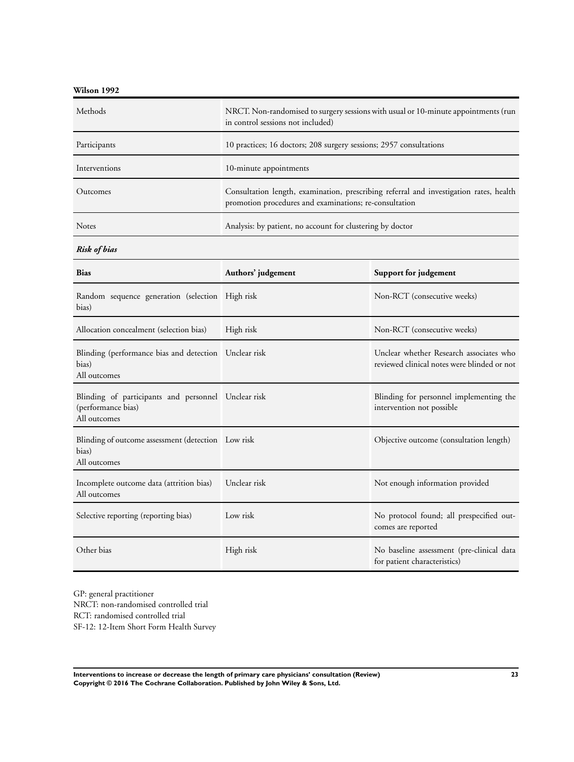## <span id="page-25-0"></span>**Wilson 1992**

| Methods       | NRCT. Non-randomised to surgery sessions with usual or 10-minute appointments (run<br>in control sessions not included)                          |
|---------------|--------------------------------------------------------------------------------------------------------------------------------------------------|
| Participants  | 10 practices; 16 doctors; 208 surgery sessions; 2957 consultations                                                                               |
| Interventions | 10-minute appointments                                                                                                                           |
| Outcomes      | Consultation length, examination, prescribing referral and investigation rates, health<br>promotion procedures and examinations; re-consultation |
| <b>Notes</b>  | Analysis: by patient, no account for clustering by doctor                                                                                        |

*Risk of bias*

| <b>Bias</b>                                                                               | Authors' judgement | Support for judgement                                                                  |
|-------------------------------------------------------------------------------------------|--------------------|----------------------------------------------------------------------------------------|
| Random sequence generation (selection High risk<br>bias)                                  |                    | Non-RCT (consecutive weeks)                                                            |
| Allocation concealment (selection bias)                                                   | High risk          | Non-RCT (consecutive weeks)                                                            |
| Blinding (performance bias and detection Unclear risk<br>bias)<br>All outcomes            |                    | Unclear whether Research associates who<br>reviewed clinical notes were blinded or not |
| Blinding of participants and personnel Unclear risk<br>(performance bias)<br>All outcomes |                    | Blinding for personnel implementing the<br>intervention not possible                   |
| Blinding of outcome assessment (detection Low risk<br>bias)<br>All outcomes               |                    | Objective outcome (consultation length)                                                |
| Incomplete outcome data (attrition bias)<br>All outcomes                                  | Unclear risk       | Not enough information provided                                                        |
| Selective reporting (reporting bias)                                                      | Low risk           | No protocol found; all prespecified out-<br>comes are reported                         |
| Other bias                                                                                | High risk          | No baseline assessment (pre-clinical data<br>for patient characteristics)              |

GP: general practitioner

NRCT: non-randomised controlled trial

RCT: randomised controlled trial

SF-12: 12-Item Short Form Health Survey

**Interventions to increase or decrease the length of primary care physicians' consultation (Review) 23 Copyright © 2016 The Cochrane Collaboration. Published by John Wiley & Sons, Ltd.**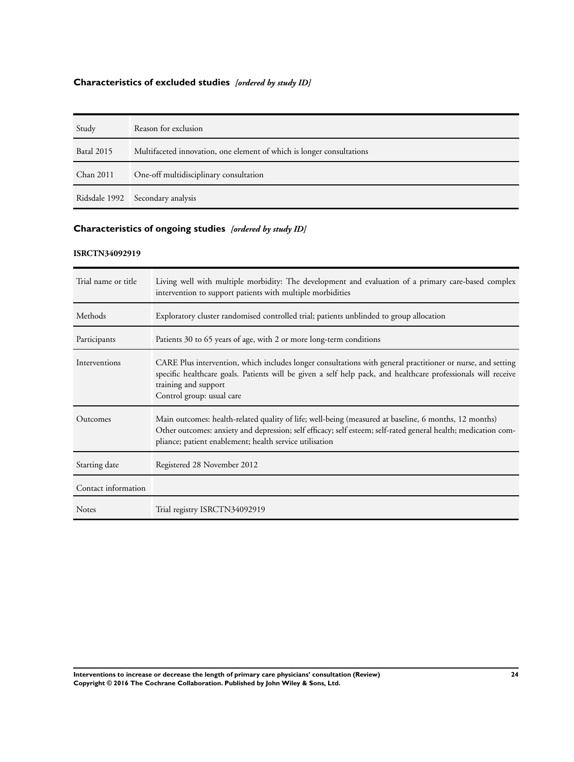## <span id="page-26-0"></span>**Characteristics of excluded studies** *[ordered by study ID]*

| Study             | Reason for exclusion                                                  |
|-------------------|-----------------------------------------------------------------------|
| <b>Batal 2015</b> | Multifaceted innovation, one element of which is longer consultations |
| Chan 2011         | One-off multidisciplinary consultation                                |
| Ridsdale 1992     | Secondary analysis                                                    |

## **Characteristics of ongoing studies** *[ordered by study ID]*

## **ISRCTN34092919**

| Trial name or title | Living well with multiple morbidity: The development and evaluation of a primary care-based complex<br>intervention to support patients with multiple morbidities                                                                                                                  |
|---------------------|------------------------------------------------------------------------------------------------------------------------------------------------------------------------------------------------------------------------------------------------------------------------------------|
| Methods             | Exploratory cluster randomised controlled trial; patients unblinded to group allocation                                                                                                                                                                                            |
| Participants        | Patients 30 to 65 years of age, with 2 or more long-term conditions                                                                                                                                                                                                                |
| Interventions       | CARE Plus intervention, which includes longer consultations with general practitioner or nurse, and setting<br>specific healthcare goals. Patients will be given a self help pack, and healthcare professionals will receive<br>training and support<br>Control group: usual care  |
| Outcomes            | Main outcomes: health-related quality of life; well-being (measured at baseline, 6 months, 12 months)<br>Other outcomes: anxiety and depression; self efficacy; self esteem; self-rated general health; medication com-<br>pliance; patient enablement; health service utilisation |
| Starting date       | Registered 28 November 2012                                                                                                                                                                                                                                                        |
| Contact information |                                                                                                                                                                                                                                                                                    |
| <b>Notes</b>        | Trial registry ISRCTN34092919                                                                                                                                                                                                                                                      |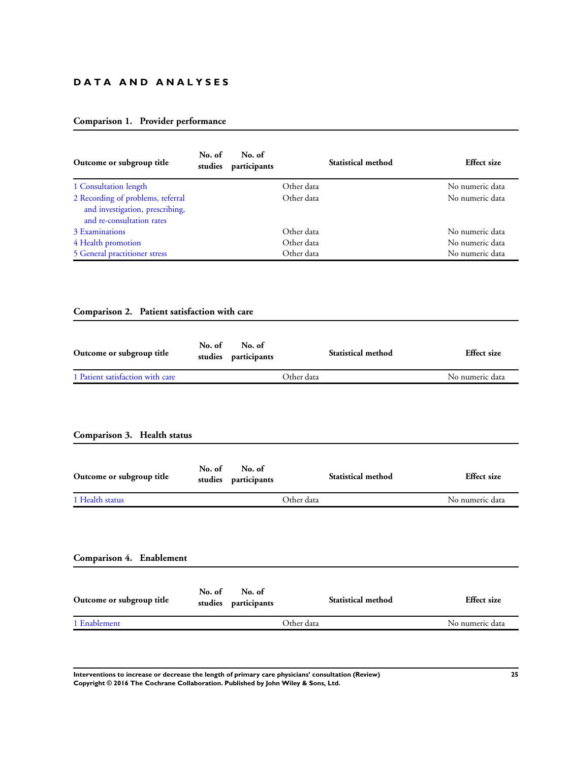## <span id="page-27-0"></span>**D A T A A N D A N A L Y S E S**

## **Comparison 1. Provider performance**

| Outcome or subgroup title                                                                         | No. of<br>studies | No. of<br>participants |            | <b>Statistical method</b> | <b>Effect</b> size |
|---------------------------------------------------------------------------------------------------|-------------------|------------------------|------------|---------------------------|--------------------|
| 1 Consultation length                                                                             |                   |                        | Other data |                           | No numeric data    |
| 2 Recording of problems, referral<br>and investigation, prescribing,<br>and re-consultation rates |                   |                        | Other data |                           | No numeric data    |
| 3 Examinations                                                                                    |                   |                        | Other data |                           | No numeric data    |
| 4 Health promotion                                                                                |                   |                        | Other data |                           | No numeric data    |
| 5 General practitioner stress                                                                     |                   |                        | Other data |                           | No numeric data    |

## **Comparison 2. Patient satisfaction with care**

| No. of<br>studies | No. of<br>participants |              | Statistical method | <b>Effect</b> size |
|-------------------|------------------------|--------------|--------------------|--------------------|
|                   |                        | Other data   |                    | No numeric data    |
|                   |                        |              |                    |                    |
| No. of<br>studies | No. of                 |              | Statistical method | <b>Effect</b> size |
|                   |                        | Other data   |                    | No numeric data    |
|                   |                        |              |                    |                    |
| No. of<br>studies | No. of<br>participants |              | Statistical method | <b>Effect</b> size |
|                   |                        | Other data   |                    | No numeric data    |
|                   |                        | participants |                    |                    |

**Interventions to increase or decrease the length of primary care physicians' consultation (Review) 25 Copyright © 2016 The Cochrane Collaboration. Published by John Wiley & Sons, Ltd.**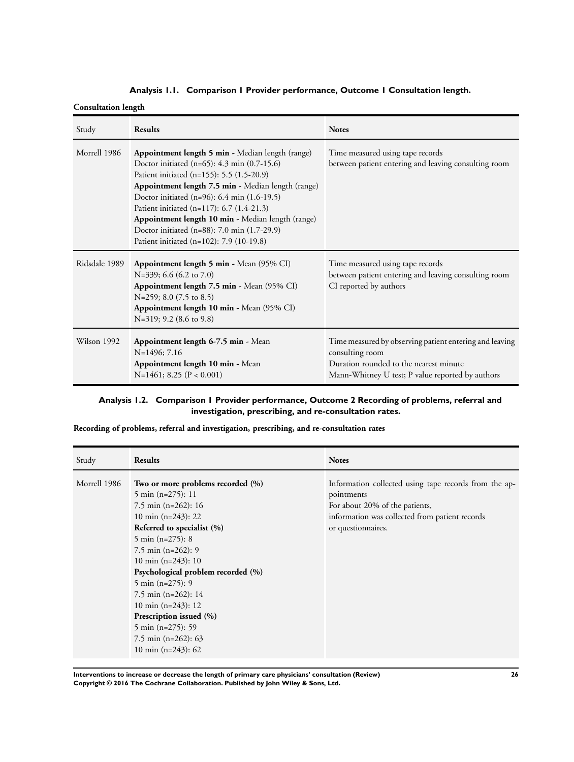|  |  |  |  |  | Analysis I.I. Comparison I Provider performance, Outcome I Consultation length. |
|--|--|--|--|--|---------------------------------------------------------------------------------|
|--|--|--|--|--|---------------------------------------------------------------------------------|

#### <span id="page-28-0"></span>**Consultation length**

| Study         | <b>Results</b>                                                                                                                                                                                                                                                                                                                                                                                                                                                        | <b>Notes</b>                                                                                                                                                             |
|---------------|-----------------------------------------------------------------------------------------------------------------------------------------------------------------------------------------------------------------------------------------------------------------------------------------------------------------------------------------------------------------------------------------------------------------------------------------------------------------------|--------------------------------------------------------------------------------------------------------------------------------------------------------------------------|
| Morrell 1986  | <b>Appointment length 5 min -</b> Median length (range)<br>Doctor initiated $(n=65)$ : 4.3 min $(0.7-15.6)$<br>Patient initiated (n=155): 5.5 (1.5-20.9)<br>Appointment length 7.5 min - Median length (range)<br>Doctor initiated (n=96): $6.4 \text{ min } (1.6-19.5)$<br>Patient initiated (n=117): 6.7 (1.4-21.3)<br>Appointment length 10 min - Median length (range)<br>Doctor initiated (n=88): 7.0 min (1.7-29.9)<br>Patient initiated (n=102): 7.9 (10-19.8) | Time measured using tape records<br>between patient entering and leaving consulting room                                                                                 |
| Ridsdale 1989 | <b>Appointment length 5 min - Mean (95% CI)</b><br>$N=339$ ; 6.6 (6.2 to 7.0)<br>Appointment length 7.5 min - Mean (95% CI)<br>$N=259$ ; 8.0 (7.5 to 8.5)<br>Appointment length 10 min - Mean (95% CI)<br>$N=319$ ; 9.2 (8.6 to 9.8)                                                                                                                                                                                                                                  | Time measured using tape records<br>between patient entering and leaving consulting room<br>CI reported by authors                                                       |
| Wilson 1992   | Appointment length 6-7.5 min - Mean<br>$N=1496; 7.16$<br>Appointment length 10 min - Mean<br>$N=1461$ ; 8.25 (P < 0.001)                                                                                                                                                                                                                                                                                                                                              | Time measured by observing patient entering and leaving<br>consulting room<br>Duration rounded to the nearest minute<br>Mann-Whitney U test; P value reported by authors |

## **Analysis 1.2. Comparison 1 Provider performance, Outcome 2 Recording of problems, referral and investigation, prescribing, and re-consultation rates.**

**Recording of problems, referral and investigation, prescribing, and re-consultation rates**

| Study        | Results                                                                                                                                                                                                                                                                                                                                                                                                                                                             | <b>Notes</b>                                                                                                                                                                  |
|--------------|---------------------------------------------------------------------------------------------------------------------------------------------------------------------------------------------------------------------------------------------------------------------------------------------------------------------------------------------------------------------------------------------------------------------------------------------------------------------|-------------------------------------------------------------------------------------------------------------------------------------------------------------------------------|
| Morrell 1986 | Two or more problems recorded (%)<br>$5 \text{ min } (n=275): 11$<br>7.5 min (n=262): 16<br>10 min $(n=243)$ : 22<br>Referred to specialist (%)<br>$5 \text{ min } (n=275): 8$<br>7.5 min $(n=262)$ : 9<br>10 min ( $n=243$ ): 10<br>Psychological problem recorded (%)<br>$5 \text{ min } (n=275): 9$<br>7.5 min (n=262): $14$<br>10 min $(n=243)$ : 12<br>Prescription issued (%)<br>$5 \text{ min } (n=275): 59$<br>7.5 min (n=262): 63<br>10 min $(n=243)$ : 62 | Information collected using tape records from the ap-<br>pointments<br>For about 20% of the patients,<br>information was collected from patient records<br>or questionnaires. |

**Interventions to increase or decrease the length of primary care physicians' consultation (Review) 26 Copyright © 2016 The Cochrane Collaboration. Published by John Wiley & Sons, Ltd.**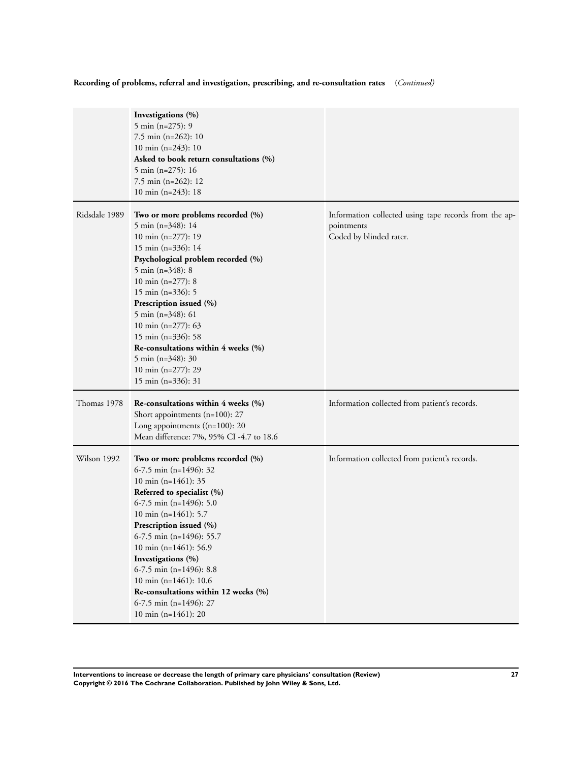## **Recording of problems, referral and investigation, prescribing, and re-consultation rates** (*Continued)*

|               | Investigations (%)<br>5 min (n=275): 9<br>7.5 min (n=262): 10<br>10 min $(n=243)$ : 10<br>Asked to book return consultations (%)<br>$5 \text{ min } (n=275): 16$<br>7.5 min (n=262): 12<br>10 min $(n=243)$ : 18                                                                                                                                                                                                                                                  |                                                                                                |
|---------------|-------------------------------------------------------------------------------------------------------------------------------------------------------------------------------------------------------------------------------------------------------------------------------------------------------------------------------------------------------------------------------------------------------------------------------------------------------------------|------------------------------------------------------------------------------------------------|
| Ridsdale 1989 | Two or more problems recorded (%)<br>$5 \text{ min } (n=348): 14$<br>10 min (n=277): 19<br>15 min (n=336): 14<br>Psychological problem recorded (%)<br>$5 \text{ min } (n=348): 8$<br>10 min $(n=277)$ : 8<br>15 min (n= $336$ ): 5<br>Prescription issued (%)<br>$5 \text{ min } (n=348): 61$<br>10 min ( $n=277$ ): 63<br>15 min (n=336): 58<br>Re-consultations within 4 weeks (%)<br>$5 \text{ min } (n=348): 30$<br>10 min (n=277): 29<br>15 min (n=336): 31 | Information collected using tape records from the ap-<br>pointments<br>Coded by blinded rater. |
| Thomas 1978   | Re-consultations within 4 weeks (%)<br>Short appointments (n=100): 27<br>Long appointments $((n=100): 20)$<br>Mean difference: 7%, 95% CI -4.7 to 18.6                                                                                                                                                                                                                                                                                                            | Information collected from patient's records.                                                  |
| Wilson 1992   | Two or more problems recorded (%)<br>6-7.5 min (n= $1496$ ): 32<br>10 min (n=1461): 35<br>Referred to specialist (%)<br>6-7.5 min (n= $1496$ ): 5.0<br>10 min (n= $1461$ ): 5.7<br>Prescription issued (%)<br>6-7.5 min (n= $1496$ ): 55.7<br>10 min (n=1461): 56.9<br>Investigations (%)<br>$6-7.5$ min (n=1496): 8.8<br>10 min (n= $1461$ ): 10.6<br>Re-consultations within 12 weeks (%)<br>6-7.5 min (n= $1496$ ): 27<br>10 min $(n=1461)$ : 20               | Information collected from patient's records.                                                  |

**Interventions to increase or decrease the length of primary care physicians' consultation (Review) 27 Copyright © 2016 The Cochrane Collaboration. Published by John Wiley & Sons, Ltd.**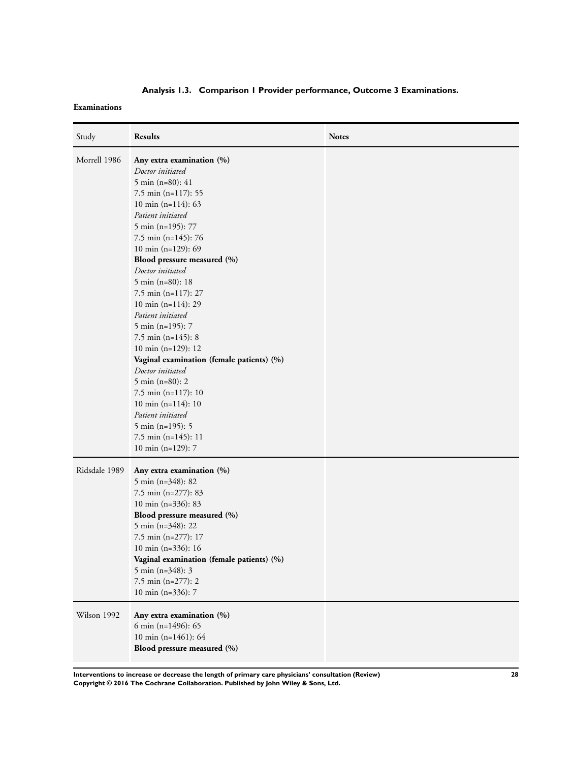## **Analysis 1.3. Comparison 1 Provider performance, Outcome 3 Examinations.**

## <span id="page-30-0"></span>**Examinations**

| Study         | <b>Results</b>                                                                                                                                                                                                                                                                                                                                                                                                                                                                                                                                                                                                                                                                                       | <b>Notes</b> |
|---------------|------------------------------------------------------------------------------------------------------------------------------------------------------------------------------------------------------------------------------------------------------------------------------------------------------------------------------------------------------------------------------------------------------------------------------------------------------------------------------------------------------------------------------------------------------------------------------------------------------------------------------------------------------------------------------------------------------|--------------|
| Morrell 1986  | Any extra examination (%)<br>Doctor initiated<br>$5 \text{ min } (n=80): 41$<br>7.5 min (n=117): 55<br>10 min $(n=114)$ : 63<br>Patient initiated<br>5 min (n=195): 77<br>7.5 min (n= $145$ ): 76<br>10 min (n=129): 69<br>Blood pressure measured (%)<br>Doctor initiated<br>$5 \text{ min } (n=80): 18$<br>7.5 min (n=117): 27<br>10 min (n=114): 29<br>Patient initiated<br>5 min (n=195): 7<br>7.5 min (n= $145$ ): 8<br>10 min (n=129): 12<br>Vaginal examination (female patients) (%)<br>Doctor initiated<br>$5 \text{ min } (n=80): 2$<br>7.5 min (n=117): 10<br>10 min $(n=114)$ : 10<br>Patient initiated<br>$5 \text{ min } (n=195): 5$<br>7.5 min $(n=145)$ : 11<br>10 min $(n=129)$ : 7 |              |
| Ridsdale 1989 | Any extra examination (%)<br>5 min (n=348): 82<br>7.5 min (n=277): 83<br>10 min (n=336): 83<br>Blood pressure measured (%)<br>5 min (n=348): 22<br>7.5 min (n=277): 17<br>10 min ( $n=336$ ): 16<br>Vaginal examination (female patients) (%)<br>5 min (n=348): 3<br>7.5 min (n=277): 2<br>10 min (n=336): 7                                                                                                                                                                                                                                                                                                                                                                                         |              |
| Wilson 1992   | Any extra examination (%)<br>6 min (n=1496): 65<br>10 min (n=1461): 64<br>Blood pressure measured (%)                                                                                                                                                                                                                                                                                                                                                                                                                                                                                                                                                                                                |              |

**Interventions to increase or decrease the length of primary care physicians' consultation (Review) 28 Copyright © 2016 The Cochrane Collaboration. Published by John Wiley & Sons, Ltd.**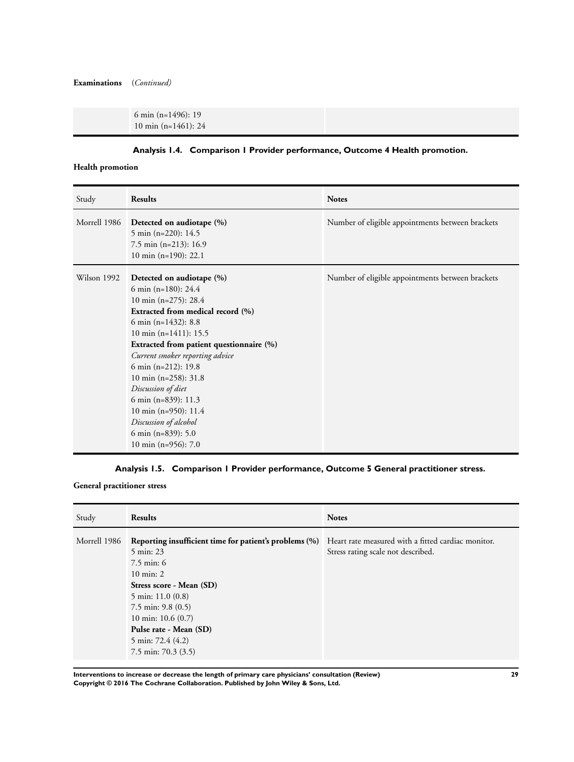#### <span id="page-31-0"></span>**Examinations** (*Continued)*

| 6 min (n= $1496$ ): 19  |  |
|-------------------------|--|
| 10 min (n= $1461$ ): 24 |  |

## **Analysis 1.4. Comparison 1 Provider performance, Outcome 4 Health promotion.**

#### **Health promotion**

| Study        | <b>Results</b>                                                                                                                                                                                                                                                                                                                                                                                                                                               | <b>Notes</b>                                     |
|--------------|--------------------------------------------------------------------------------------------------------------------------------------------------------------------------------------------------------------------------------------------------------------------------------------------------------------------------------------------------------------------------------------------------------------------------------------------------------------|--------------------------------------------------|
| Morrell 1986 | Detected on audiotape (%)<br>$5 \text{ min}$ (n=220): 14.5<br>7.5 min (n=213): 16.9<br>10 min (n=190): $22.1$                                                                                                                                                                                                                                                                                                                                                | Number of eligible appointments between brackets |
| Wilson 1992  | Detected on audiotape (%)<br>6 min (n= $180$ ): 24.4<br>10 min (n=275): 28.4<br>Extracted from medical record (%)<br>6 min (n= $1432$ ): 8.8<br>10 min (n= $1411$ ): 15.5<br>Extracted from patient questionnaire (%)<br>Current smoker reporting advice<br>6 min (n=212): $19.8$<br>10 min (n= $258$ ): 31.8<br>Discussion of diet<br>6 min (n=839): 11.3<br>10 min (n=950): $11.4$<br>Discussion of alcohol<br>6 min (n=839): 5.0<br>10 min (n=956): $7.0$ | Number of eligible appointments between brackets |

**Analysis 1.5. Comparison 1 Provider performance, Outcome 5 General practitioner stress.**

**General practitioner stress**

| Study        | Results                                                                                                                                                                                                                                                                                                                   | <b>Notes</b>                                                                             |
|--------------|---------------------------------------------------------------------------------------------------------------------------------------------------------------------------------------------------------------------------------------------------------------------------------------------------------------------------|------------------------------------------------------------------------------------------|
| Morrell 1986 | Reporting insufficient time for patient's problems $(\% )$<br>5 min: 23<br>$7.5 \text{ min: } 6$<br>$10 \text{ min: } 2$<br>Stress score - Mean (SD)<br>$5 \text{ min: } 11.0 \text{ } (0.8)$<br>$7.5$ min: $9.8(0.5)$<br>10 min: $10.6(0.7)$<br>Pulse rate - Mean (SD)<br>5 min: 72.4 (4.2)<br>$7.5$ min: $70.3$ $(3.5)$ | Heart rate measured with a fitted cardiac monitor.<br>Stress rating scale not described. |

**Interventions to increase or decrease the length of primary care physicians' consultation (Review) 29 Copyright © 2016 The Cochrane Collaboration. Published by John Wiley & Sons, Ltd.**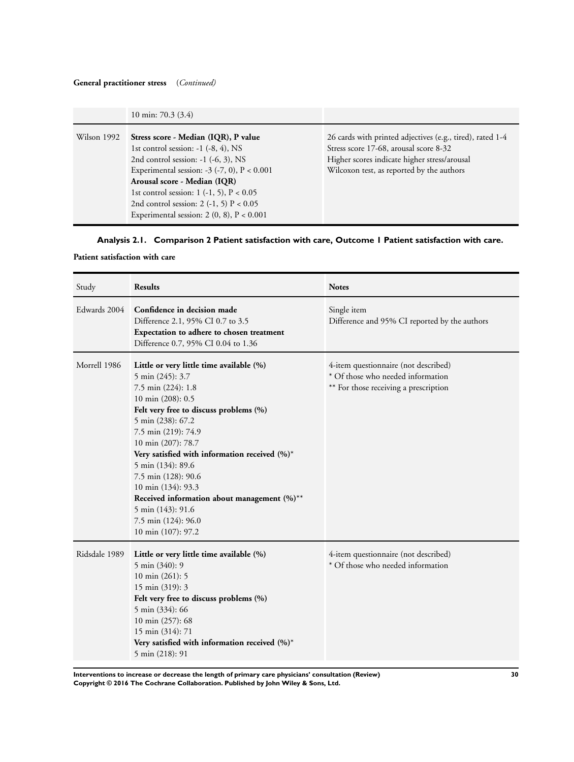#### <span id="page-32-0"></span>**General practitioner stress** (*Continued)*

|             | 10 min: $70.3(3.4)$                                                                                                                                                                                                                                                                                                                                       |                                                                                                                                                                                                  |
|-------------|-----------------------------------------------------------------------------------------------------------------------------------------------------------------------------------------------------------------------------------------------------------------------------------------------------------------------------------------------------------|--------------------------------------------------------------------------------------------------------------------------------------------------------------------------------------------------|
| Wilson 1992 | Stress score - Median (IQR), P value<br>1st control session: $-1$ $(-8, 4)$ , NS<br>2nd control session: $-1$ $(-6, 3)$ , NS<br>Experimental session: -3 (-7, 0), $P < 0.001$<br>Arousal score - Median (IQR)<br>1st control session: 1 $(-1, 5)$ , P < 0.05<br>2nd control session: $2(-1, 5)$ P < 0.05<br>Experimental session: $2(0, 8)$ , $P < 0.001$ | 26 cards with printed adjectives (e.g., tired), rated 1-4<br>Stress score 17-68, arousal score 8-32<br>Higher scores indicate higher stress/arousal<br>Wilcoxon test, as reported by the authors |

## **Analysis 2.1. Comparison 2 Patient satisfaction with care, Outcome 1 Patient satisfaction with care.**

## **Patient satisfaction with care**

| Study         | <b>Results</b>                                                                                                                                                                                                                                                                                                                                                                                                                                              | <b>Notes</b>                                                                                                       |
|---------------|-------------------------------------------------------------------------------------------------------------------------------------------------------------------------------------------------------------------------------------------------------------------------------------------------------------------------------------------------------------------------------------------------------------------------------------------------------------|--------------------------------------------------------------------------------------------------------------------|
| Edwards 2004  | Confidence in decision made<br>Difference 2.1, 95% CI 0.7 to 3.5<br>Expectation to adhere to chosen treatment<br>Difference 0.7, 95% CI 0.04 to 1.36                                                                                                                                                                                                                                                                                                        | Single item<br>Difference and 95% CI reported by the authors                                                       |
| Morrell 1986  | Little or very little time available (%)<br>5 min (245): 3.7<br>7.5 min (224): 1.8<br>10 min (208): 0.5<br>Felt very free to discuss problems (%)<br>5 min (238): 67.2<br>7.5 min (219): 74.9<br>10 min (207): 78.7<br>Very satisfied with information received $(\%)^*$<br>5 min (134): 89.6<br>7.5 min (128): 90.6<br>10 min (134): 93.3<br>Received information about management (%)**<br>5 min (143): 91.6<br>7.5 min (124): 96.0<br>10 min (107): 97.2 | 4-item questionnaire (not described)<br>* Of those who needed information<br>** For those receiving a prescription |
| Ridsdale 1989 | Little or very little time available (%)<br>5 min (340): 9<br>10 min (261): 5<br>15 min (319): 3<br>Felt very free to discuss problems (%)<br>5 min (334): 66<br>10 min (257): 68<br>15 min (314): 71<br>Very satisfied with information received $(\%)^*$<br>5 min (218): 91                                                                                                                                                                               | 4-item questionnaire (not described)<br>* Of those who needed information                                          |

**Interventions to increase or decrease the length of primary care physicians' consultation (Review) 30 Copyright © 2016 The Cochrane Collaboration. Published by John Wiley & Sons, Ltd.**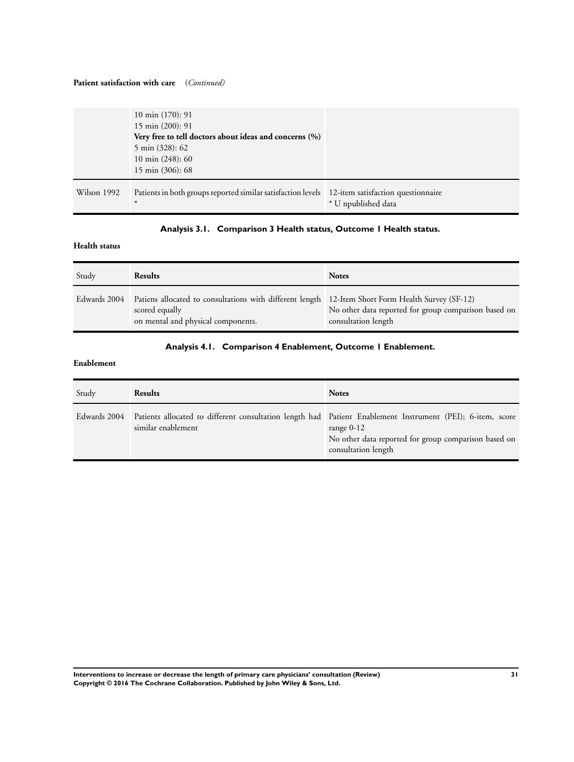## <span id="page-33-0"></span>**Patient satisfaction with care** (*Continued)*

|             | 10 min (170): 91<br>15 min (200): 91<br>Very free to tell doctors about ideas and concerns (%)<br>5 min (328): 62<br>10 min (248): 60<br>15 min (306): 68 |                     |
|-------------|-----------------------------------------------------------------------------------------------------------------------------------------------------------|---------------------|
| Wilson 1992 | Patients in both groups reported similar satisfaction levels 12-item satisfaction questionnaire<br>$\ast$                                                 | * U npublished data |

## **Analysis 3.1. Comparison 3 Health status, Outcome 1 Health status.**

## **Health status**

| Study        | <b>Results</b>                                                                                                                                            | <b>Notes</b>                                                                |
|--------------|-----------------------------------------------------------------------------------------------------------------------------------------------------------|-----------------------------------------------------------------------------|
| Edwards 2004 | Patiens allocated to consultations with different length 12-Item Short Form Health Survey (SF-12)<br>scored equally<br>on mental and physical components. | No other data reported for group comparison based on<br>consultation length |

## **Analysis 4.1. Comparison 4 Enablement, Outcome 1 Enablement.**

## **Enablement**

| Study        | <b>Results</b>                                                                                                                   | <b>Notes</b>                                                                                |
|--------------|----------------------------------------------------------------------------------------------------------------------------------|---------------------------------------------------------------------------------------------|
| Edwards 2004 | Patients allocated to different consultation length had Patient Enablement Instrument (PEI); 6-item, score<br>similar enablement | range $0-12$<br>No other data reported for group comparison based on<br>consultation length |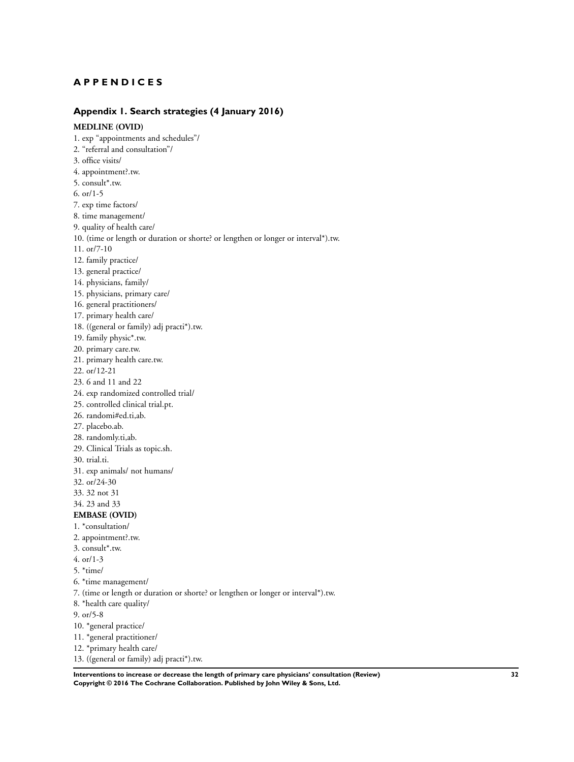## **A P P E N D I C E S**

## **Appendix 1. Search strategies (4 January 2016)**

#### **MEDLINE (OVID)**

1. exp "appointments and schedules"/ 2. "referral and consultation"/ 3. office visits/ 4. appointment?.tw. 5. consult\*.tw. 6. or/1-5 7. exp time factors/ 8. time management/ 9. quality of health care/ 10. (time or length or duration or shorte? or lengthen or longer or interval\*).tw. 11. or/7-10 12. family practice/ 13. general practice/ 14. physicians, family/ 15. physicians, primary care/ 16. general practitioners/ 17. primary health care/ 18. ((general or family) adj practi\*).tw. 19. family physic\*.tw. 20. primary care.tw. 21. primary health care.tw. 22. or/12-21 23. 6 and 11 and 22 24. exp randomized controlled trial/ 25. controlled clinical trial.pt. 26. randomi#ed.ti,ab. 27. placebo.ab. 28. randomly.ti,ab. 29. Clinical Trials as topic.sh. 30. trial.ti. 31. exp animals/ not humans/ 32. or/24-30 33. 32 not 31 34. 23 and 33 **EMBASE (OVID)** 1. \*consultation/ 2. appointment?.tw. 3. consult\*.tw. 4. or/1-3 5. \*time/ 6. \*time management/ 7. (time or length or duration or shorte? or lengthen or longer or interval\*).tw. 8. \*health care quality/ 9. or/5-8 10. \*general practice/ 11. \*general practitioner/ 12. \*primary health care/ 13. ((general or family) adj practi\*).tw.

**Interventions to increase or decrease the length of primary care physicians' consultation (Review) 32 Copyright © 2016 The Cochrane Collaboration. Published by John Wiley & Sons, Ltd.**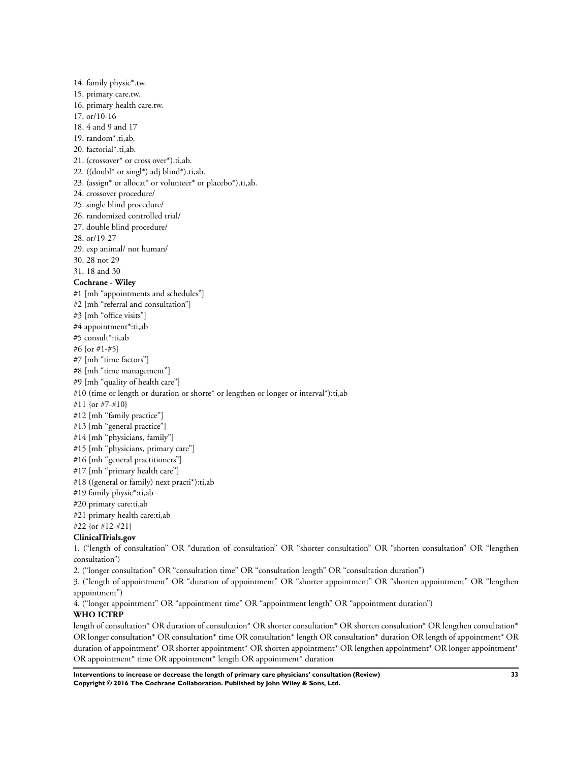14. family physic\*.tw. 15. primary care.tw. 16. primary health care.tw. 17. or/10-16 18. 4 and 9 and 17 19. random\*.ti,ab. 20. factorial\*.ti,ab. 21. (crossover\* or cross over\*).ti,ab. 22. ((doubl\* or singl\*) adj blind\*).ti,ab. 23. (assign\* or allocat\* or volunteer\* or placebo\*).ti,ab. 24. crossover procedure/ 25. single blind procedure/ 26. randomized controlled trial/ 27. double blind procedure/ 28. or/19-27 29. exp animal/ not human/ 30. 28 not 29 31. 18 and 30 **Cochrane - Wiley** #1 [mh "appointments and schedules"] #2 [mh "referral and consultation"] #3 [mh "office visits"] #4 appointment\*:ti,ab #5 consult\*:ti,ab #6 {or #1-#5} #7 [mh "time factors"] #8 [mh "time management"] #9 [mh "quality of health care"] #10 (time or length or duration or shorte\* or lengthen or longer or interval\*):ti,ab #11 {or #7-#10} #12 [mh "family practice"] #13 [mh "general practice"] #14 [mh "physicians, family"] #15 [mh "physicians, primary care"] #16 [mh "general practitioners"] #17 [mh "primary health care"] #18 ((general or family) next practi\*):ti,ab #19 family physic\*:ti,ab #20 primary care:ti,ab #21 primary health care:ti,ab #22 {or #12-#21}

#### **ClinicalTrials.gov**

1. ("length of consultation" OR "duration of consultation" OR "shorter consultation" OR "shorten consultation" OR "lengthen consultation")

2. ("longer consultation" OR "consultation time" OR "consultation length" OR "consultation duration")

3. ("length of appointment" OR "duration of appointment" OR "shorter appointment" OR "shorten appointment" OR "lengthen appointment")

4. ("longer appointment" OR "appointment time" OR "appointment length" OR "appointment duration") **WHO ICTRP**

length of consultation\* OR duration of consultation\* OR shorter consultation\* OR shorten consultation\* OR lengthen consultation\* OR longer consultation\* OR consultation\* time OR consultation\* length OR consultation\* duration OR length of appointment\* OR duration of appointment\* OR shorter appointment\* OR shorten appointment\* OR lengthen appointment\* OR longer appointment\* OR appointment\* time OR appointment\* length OR appointment\* duration

**Interventions to increase or decrease the length of primary care physicians' consultation (Review) 33 Copyright © 2016 The Cochrane Collaboration. Published by John Wiley & Sons, Ltd.**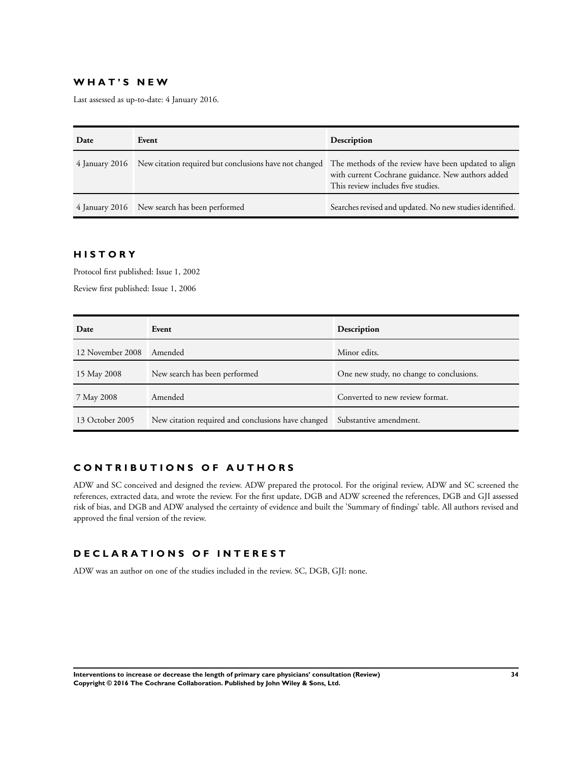## **W H A T ' S N E W**

Last assessed as up-to-date: 4 January 2016.

| Date           | Event                                                                                                       | Description                                                                             |
|----------------|-------------------------------------------------------------------------------------------------------------|-----------------------------------------------------------------------------------------|
| 4 January 2016 | New citation required but conclusions have not changed The methods of the review have been updated to align | with current Cochrane guidance. New authors added<br>This review includes five studies. |
|                | 4 January 2016 New search has been performed                                                                | Searches revised and updated. No new studies identified.                                |

## **H I S T O R Y**

Protocol first published: Issue 1, 2002 Review first published: Issue 1, 2006

| Date             | Event                                                                     | Description                              |
|------------------|---------------------------------------------------------------------------|------------------------------------------|
| 12 November 2008 | Amended                                                                   | Minor edits.                             |
| 15 May 2008      | New search has been performed                                             | One new study, no change to conclusions. |
| 7 May 2008       | Amended                                                                   | Converted to new review format.          |
| 13 October 2005  | New citation required and conclusions have changed Substantive amendment. |                                          |

## **C O N T R I B U T I O N S O F A U T H O R S**

ADW and SC conceived and designed the review. ADW prepared the protocol. For the original review, ADW and SC screened the references, extracted data, and wrote the review. For the first update, DGB and ADW screened the references, DGB and GJI assessed risk of bias, and DGB and ADW analysed the certainty of evidence and built the 'Summary of findings' table. All authors revised and approved the final version of the review.

## **D E C L A R A T I O N S O F I N T E R E S T**

ADW was an author on one of the studies included in the review. SC, DGB, GJI: none.